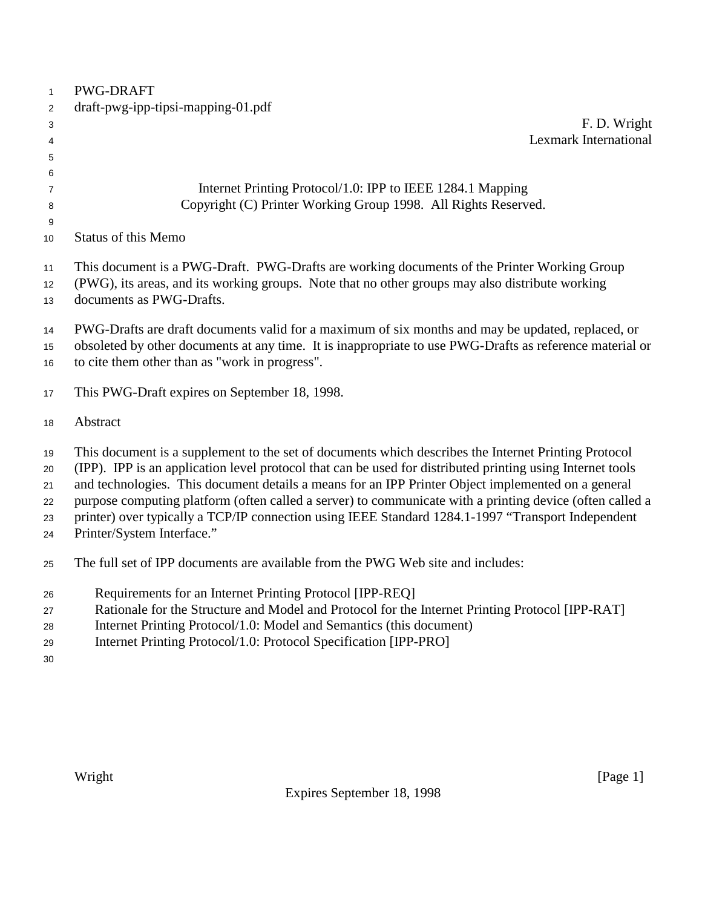| $\mathbf{1}$                     | <b>PWG-DRAFT</b>                                                                                                                                                                                                                                                                                                                                                                                                                                                                                                                                                         |
|----------------------------------|--------------------------------------------------------------------------------------------------------------------------------------------------------------------------------------------------------------------------------------------------------------------------------------------------------------------------------------------------------------------------------------------------------------------------------------------------------------------------------------------------------------------------------------------------------------------------|
| $\overline{2}$                   | draft-pwg-ipp-tipsi-mapping-01.pdf                                                                                                                                                                                                                                                                                                                                                                                                                                                                                                                                       |
| 3                                | F. D. Wright                                                                                                                                                                                                                                                                                                                                                                                                                                                                                                                                                             |
| 4                                | <b>Lexmark International</b>                                                                                                                                                                                                                                                                                                                                                                                                                                                                                                                                             |
| 5                                |                                                                                                                                                                                                                                                                                                                                                                                                                                                                                                                                                                          |
| 6                                |                                                                                                                                                                                                                                                                                                                                                                                                                                                                                                                                                                          |
| $\overline{7}$                   | Internet Printing Protocol/1.0: IPP to IEEE 1284.1 Mapping                                                                                                                                                                                                                                                                                                                                                                                                                                                                                                               |
| 8                                | Copyright (C) Printer Working Group 1998. All Rights Reserved.                                                                                                                                                                                                                                                                                                                                                                                                                                                                                                           |
| 9                                |                                                                                                                                                                                                                                                                                                                                                                                                                                                                                                                                                                          |
| 10                               | <b>Status of this Memo</b>                                                                                                                                                                                                                                                                                                                                                                                                                                                                                                                                               |
| 11                               | This document is a PWG-Draft. PWG-Drafts are working documents of the Printer Working Group                                                                                                                                                                                                                                                                                                                                                                                                                                                                              |
| 12                               | (PWG), its areas, and its working groups. Note that no other groups may also distribute working                                                                                                                                                                                                                                                                                                                                                                                                                                                                          |
| 13                               | documents as PWG-Drafts.                                                                                                                                                                                                                                                                                                                                                                                                                                                                                                                                                 |
|                                  |                                                                                                                                                                                                                                                                                                                                                                                                                                                                                                                                                                          |
| 14                               | PWG-Drafts are draft documents valid for a maximum of six months and may be updated, replaced, or                                                                                                                                                                                                                                                                                                                                                                                                                                                                        |
| 15                               | obsoleted by other documents at any time. It is inappropriate to use PWG-Drafts as reference material or                                                                                                                                                                                                                                                                                                                                                                                                                                                                 |
| 16                               | to cite them other than as "work in progress".                                                                                                                                                                                                                                                                                                                                                                                                                                                                                                                           |
| 17                               | This PWG-Draft expires on September 18, 1998.                                                                                                                                                                                                                                                                                                                                                                                                                                                                                                                            |
| 18                               | Abstract                                                                                                                                                                                                                                                                                                                                                                                                                                                                                                                                                                 |
| 19<br>20<br>21<br>22<br>23<br>24 | This document is a supplement to the set of documents which describes the Internet Printing Protocol<br>(IPP). IPP is an application level protocol that can be used for distributed printing using Internet tools<br>and technologies. This document details a means for an IPP Printer Object implemented on a general<br>purpose computing platform (often called a server) to communicate with a printing device (often called a<br>printer) over typically a TCP/IP connection using IEEE Standard 1284.1-1997 "Transport Independent<br>Printer/System Interface." |
| 25                               | The full set of IPP documents are available from the PWG Web site and includes:                                                                                                                                                                                                                                                                                                                                                                                                                                                                                          |
| 26                               | Requirements for an Internet Printing Protocol [IPP-REQ]                                                                                                                                                                                                                                                                                                                                                                                                                                                                                                                 |
| 27                               | Rationale for the Structure and Model and Protocol for the Internet Printing Protocol [IPP-RAT]                                                                                                                                                                                                                                                                                                                                                                                                                                                                          |
| 28                               | Internet Printing Protocol/1.0: Model and Semantics (this document)                                                                                                                                                                                                                                                                                                                                                                                                                                                                                                      |
| 29                               | Internet Printing Protocol/1.0: Protocol Specification [IPP-PRO]                                                                                                                                                                                                                                                                                                                                                                                                                                                                                                         |
| 30                               |                                                                                                                                                                                                                                                                                                                                                                                                                                                                                                                                                                          |
|                                  |                                                                                                                                                                                                                                                                                                                                                                                                                                                                                                                                                                          |
|                                  |                                                                                                                                                                                                                                                                                                                                                                                                                                                                                                                                                                          |
|                                  |                                                                                                                                                                                                                                                                                                                                                                                                                                                                                                                                                                          |
|                                  |                                                                                                                                                                                                                                                                                                                                                                                                                                                                                                                                                                          |
|                                  |                                                                                                                                                                                                                                                                                                                                                                                                                                                                                                                                                                          |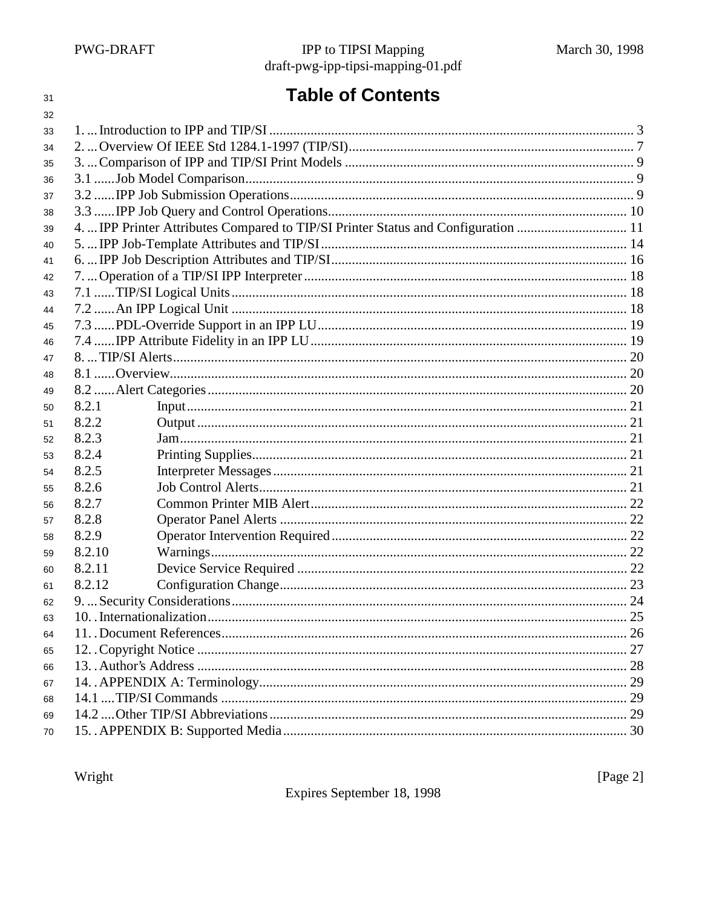31

# **Table of Contents**

| 32 |        |                                                                                    |    |
|----|--------|------------------------------------------------------------------------------------|----|
| 33 |        |                                                                                    |    |
| 34 |        |                                                                                    |    |
| 35 |        |                                                                                    |    |
| 36 |        |                                                                                    |    |
| 37 |        |                                                                                    |    |
| 38 |        |                                                                                    |    |
| 39 |        | 4.  IPP Printer Attributes Compared to TIP/SI Printer Status and Configuration  11 |    |
| 40 |        |                                                                                    |    |
| 41 |        |                                                                                    |    |
| 42 |        |                                                                                    |    |
| 43 |        |                                                                                    |    |
| 44 |        |                                                                                    |    |
| 45 |        |                                                                                    |    |
| 46 |        |                                                                                    |    |
| 47 |        |                                                                                    |    |
| 48 |        |                                                                                    |    |
| 49 |        |                                                                                    |    |
| 50 | 8.2.1  | Input 121                                                                          |    |
| 51 | 8.2.2  |                                                                                    |    |
| 52 | 8.2.3  |                                                                                    |    |
| 53 | 8.2.4  |                                                                                    |    |
| 54 | 8.2.5  |                                                                                    |    |
| 55 | 8.2.6  |                                                                                    |    |
| 56 | 8.2.7  |                                                                                    |    |
| 57 | 8.2.8  |                                                                                    |    |
| 58 | 8.2.9  |                                                                                    |    |
| 59 | 8.2.10 |                                                                                    |    |
| 60 | 8.2.11 |                                                                                    |    |
| 61 | 8.2.12 |                                                                                    |    |
| 62 |        |                                                                                    |    |
| 63 |        |                                                                                    | 25 |
| 64 |        |                                                                                    |    |
| 65 |        |                                                                                    |    |
| 66 |        |                                                                                    |    |
| 67 |        |                                                                                    |    |
| 68 |        |                                                                                    |    |
| 69 |        |                                                                                    |    |
| 70 |        |                                                                                    |    |
|    |        |                                                                                    |    |

Wright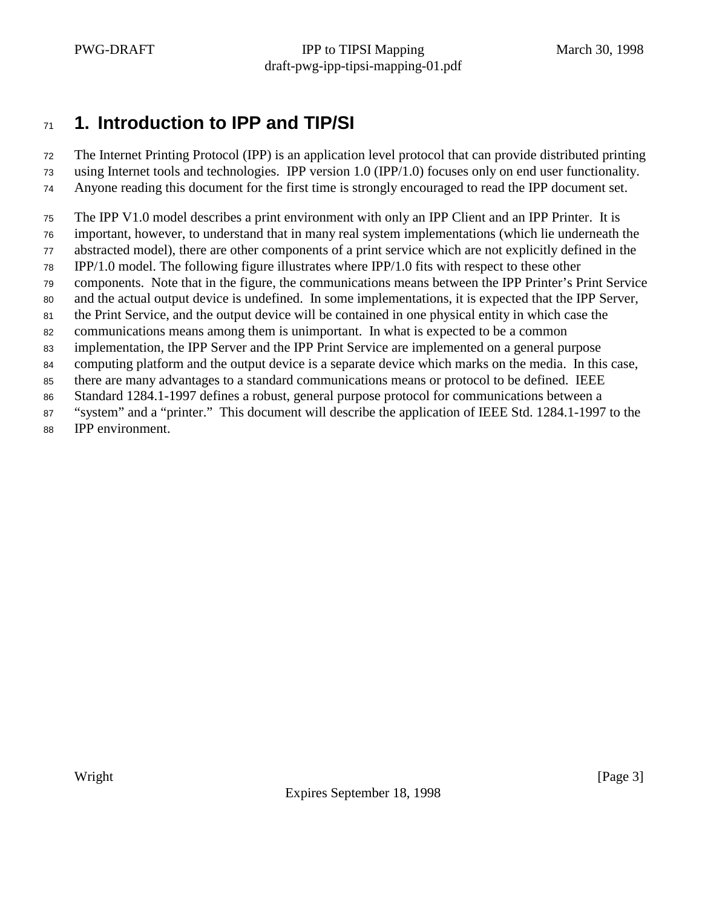## **1. Introduction to IPP and TIP/SI**

The Internet Printing Protocol (IPP) is an application level protocol that can provide distributed printing

- using Internet tools and technologies. IPP version 1.0 (IPP/1.0) focuses only on end user functionality. Anyone reading this document for the first time is strongly encouraged to read the IPP document set.
- 
- The IPP V1.0 model describes a print environment with only an IPP Client and an IPP Printer. It is
- important, however, to understand that in many real system implementations (which lie underneath the abstracted model), there are other components of a print service which are not explicitly defined in the
- IPP/1.0 model. The following figure illustrates where IPP/1.0 fits with respect to these other
- components. Note that in the figure, the communications means between the IPP Printer's Print Service
- and the actual output device is undefined. In some implementations, it is expected that the IPP Server,
- the Print Service, and the output device will be contained in one physical entity in which case the
- communications means among them is unimportant. In what is expected to be a common
- implementation, the IPP Server and the IPP Print Service are implemented on a general purpose
- computing platform and the output device is a separate device which marks on the media. In this case,
- there are many advantages to a standard communications means or protocol to be defined. IEEE
- Standard 1284.1-1997 defines a robust, general purpose protocol for communications between a
- "system" and a "printer." This document will describe the application of IEEE Std. 1284.1-1997 to the
- IPP environment.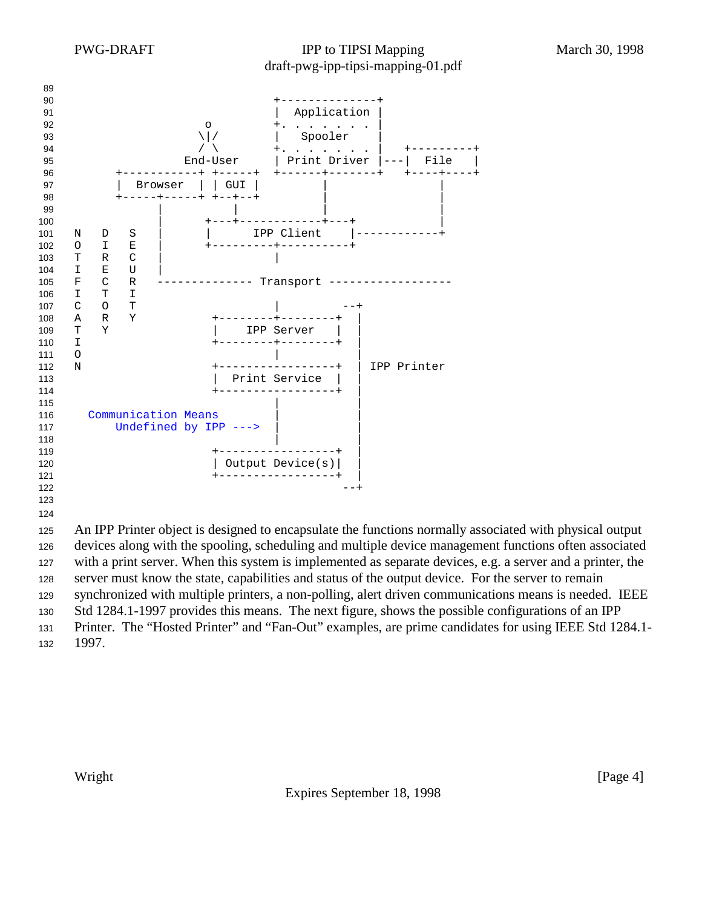

 devices along with the spooling, scheduling and multiple device management functions often associated with a print server. When this system is implemented as separate devices, e.g. a server and a printer, the server must know the state, capabilities and status of the output device. For the server to remain synchronized with multiple printers, a non-polling, alert driven communications means is needed. IEEE Std 1284.1-1997 provides this means. The next figure, shows the possible configurations of an IPP Printer. The "Hosted Printer" and "Fan-Out" examples, are prime candidates for using IEEE Std 1284.1-

1997.

Expires September 18, 1998

Wright [Page 4]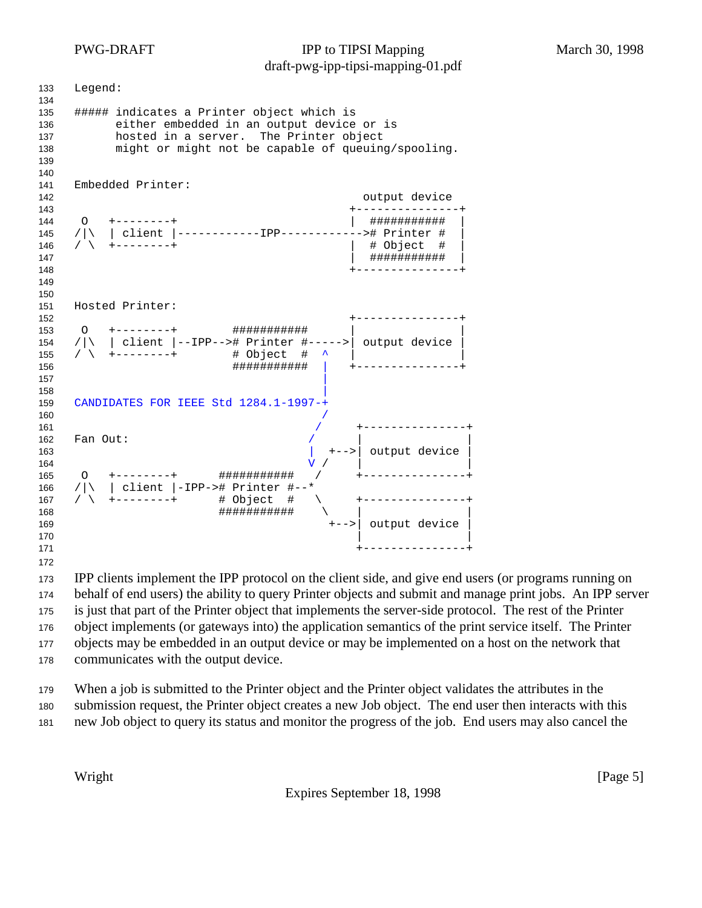Legend: ##### indicates a Printer object which is either embedded in an output device or is hosted in a server. The Printer object might or might not be capable of queuing/spooling. Embedded Printer: output device +---------------+ O +--------+ | ########### | /|\ | client |------------IPP------------># Printer # | / \ +--------+ | # Object # | | ########### | +---------------+ Hosted Printer: +---------------+ O +--------+ ########### | | 154 / $|\rangle$  | client |--IPP--># Printer #----->| output device 155 /  $\sqrt{+}$  +--------+ # Object # ^ | ########### | +---------------+ | CANDIDATES FOR IEEE Std 1284.1-1997-+ / +---------------+ Fan Out: | +-->| output device |  $V$  /  $|$  O +--------+ ########### / +---------------+ 166 / $|\n\begin{array}{c} | \ 166 \end{array}$  /  $|\n\begin{array}{c} | \ -12P$ -># Printer #--\* 167 /  $\rightarrow$  +--------+ # Object # ########### \ | | 169  $+-->$  output device  $\qquad$  |  $\qquad$  |  $\qquad$  |  $\qquad$  |  $\qquad$  |  $\qquad$  |  $\qquad$  |  $\qquad$  |  $\qquad$  |  $\qquad$  |  $\qquad$  |  $\qquad$  |  $\qquad$  |  $\qquad$  |  $\qquad$  |  $\qquad$  |  $\qquad$  |  $\qquad$  |  $\qquad$  |  $\qquad$  |  $\qquad$  |  $\qquad$  |  $\qquad$  |  $\qquad$  |  $\qquad$  |  $\qquad$  |  $\qquad$  | +---------------+ 

 IPP clients implement the IPP protocol on the client side, and give end users (or programs running on behalf of end users) the ability to query Printer objects and submit and manage print jobs. An IPP server is just that part of the Printer object that implements the server-side protocol. The rest of the Printer object implements (or gateways into) the application semantics of the print service itself. The Printer objects may be embedded in an output device or may be implemented on a host on the network that communicates with the output device.

 When a job is submitted to the Printer object and the Printer object validates the attributes in the submission request, the Printer object creates a new Job object. The end user then interacts with this new Job object to query its status and monitor the progress of the job. End users may also cancel the

Expires September 18, 1998

Wright [Page 5]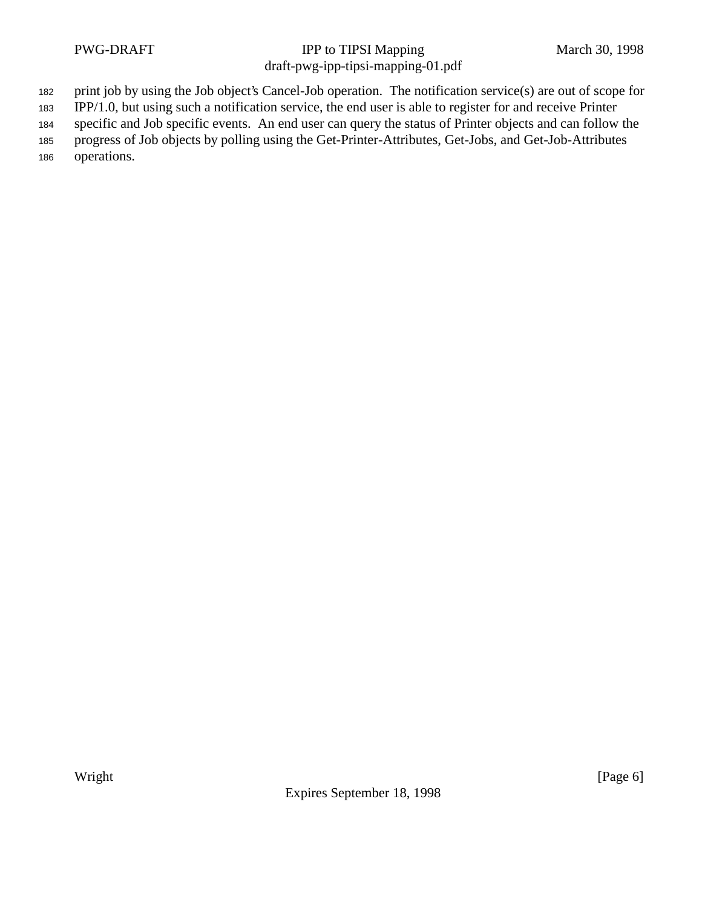<sup>182</sup> print job by using the Job object's Cancel-Job operation. The notification service(s) are out of scope for

<sup>183</sup> IPP/1.0, but using such a notification service, the end user is able to register for and receive Printer

<sup>184</sup> specific and Job specific events. An end user can query the status of Printer objects and can follow the

<sup>185</sup> progress of Job objects by polling using the Get-Printer-Attributes, Get-Jobs, and Get-Job-Attributes <sup>186</sup> operations.

Expires September 18, 1998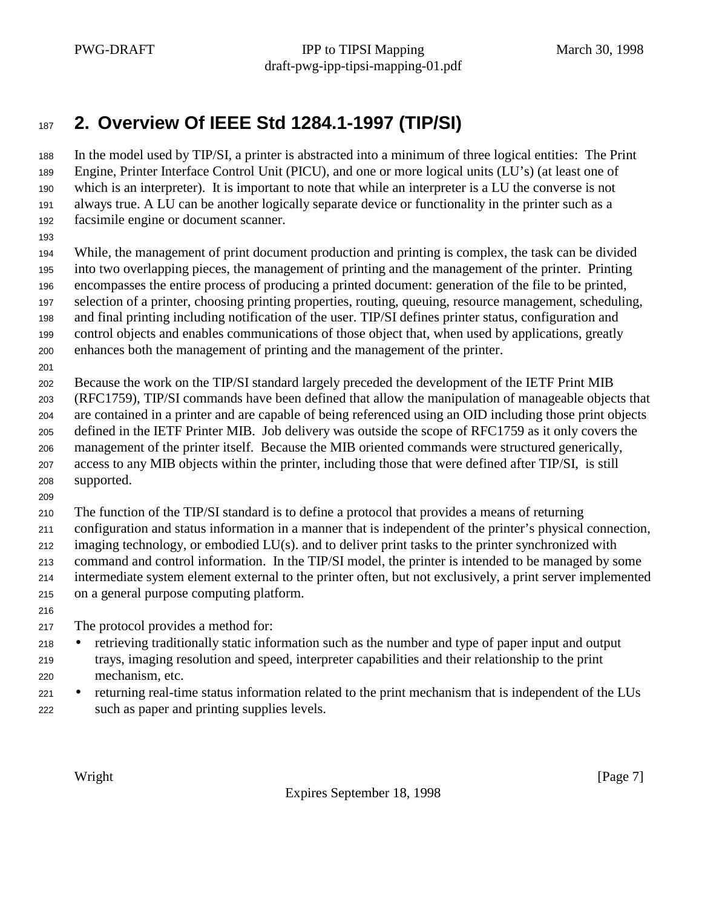# **2. Overview Of IEEE Std 1284.1-1997 (TIP/SI)**

 In the model used by TIP/SI, a printer is abstracted into a minimum of three logical entities: The Print Engine, Printer Interface Control Unit (PICU), and one or more logical units (LU's) (at least one of which is an interpreter). It is important to note that while an interpreter is a LU the converse is not always true. A LU can be another logically separate device or functionality in the printer such as a facsimile engine or document scanner.

 While, the management of print document production and printing is complex, the task can be divided into two overlapping pieces, the management of printing and the management of the printer. Printing encompasses the entire process of producing a printed document: generation of the file to be printed, selection of a printer, choosing printing properties, routing, queuing, resource management, scheduling, and final printing including notification of the user. TIP/SI defines printer status, configuration and control objects and enables communications of those object that, when used by applications, greatly

- enhances both the management of printing and the management of the printer.
- 

Because the work on the TIP/SI standard largely preceded the development of the IETF Print MIB

 (RFC1759), TIP/SI commands have been defined that allow the manipulation of manageable objects that are contained in a printer and are capable of being referenced using an OID including those print objects defined in the IETF Printer MIB. Job delivery was outside the scope of RFC1759 as it only covers the management of the printer itself. Because the MIB oriented commands were structured generically, access to any MIB objects within the printer, including those that were defined after TIP/SI, is still supported.

The function of the TIP/SI standard is to define a protocol that provides a means of returning

 configuration and status information in a manner that is independent of the printer's physical connection, imaging technology, or embodied LU(s). and to deliver print tasks to the printer synchronized with command and control information. In the TIP/SI model, the printer is intended to be managed by some intermediate system element external to the printer often, but not exclusively, a print server implemented on a general purpose computing platform.

The protocol provides a method for:

- retrieving traditionally static information such as the number and type of paper input and output trays, imaging resolution and speed, interpreter capabilities and their relationship to the print mechanism, etc.
- <sup>221</sup> returning real-time status information related to the print mechanism that is independent of the LUs such as paper and printing supplies levels.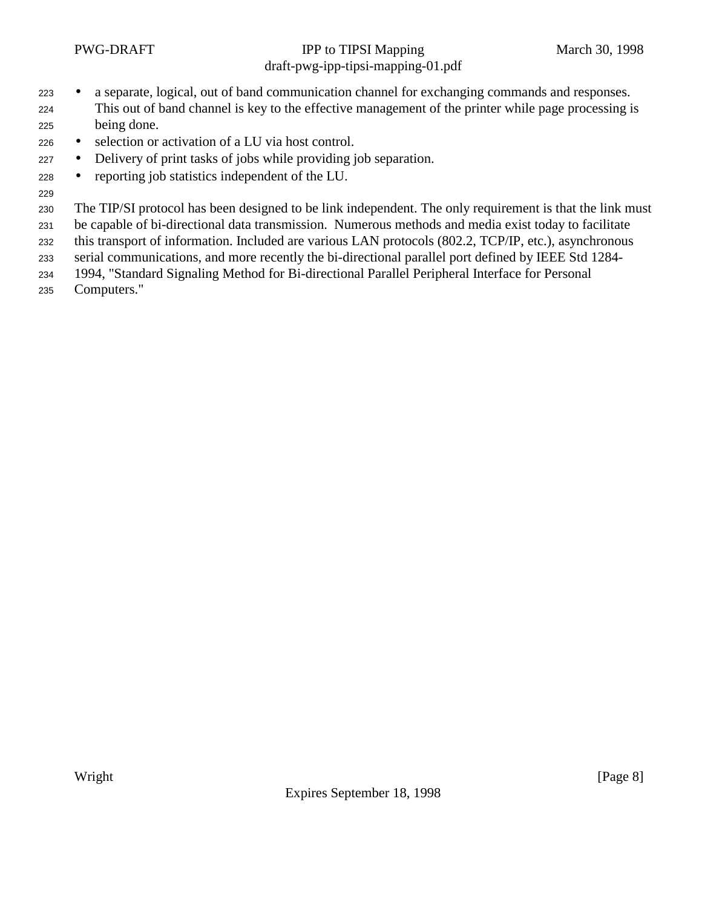- a separate, logical, out of band communication channel for exchanging commands and responses. This out of band channel is key to the effective management of the printer while page processing is being done.
- selection or activation of a LU via host control.
- Delivery of print tasks of jobs while providing job separation.
- reporting job statistics independent of the LU.
- 

The TIP/SI protocol has been designed to be link independent. The only requirement is that the link must

be capable of bi-directional data transmission. Numerous methods and media exist today to facilitate

this transport of information. Included are various LAN protocols (802.2, TCP/IP, etc.), asynchronous

serial communications, and more recently the bi-directional parallel port defined by IEEE Std 1284-

1994, "Standard Signaling Method for Bi-directional Parallel Peripheral Interface for Personal

Computers."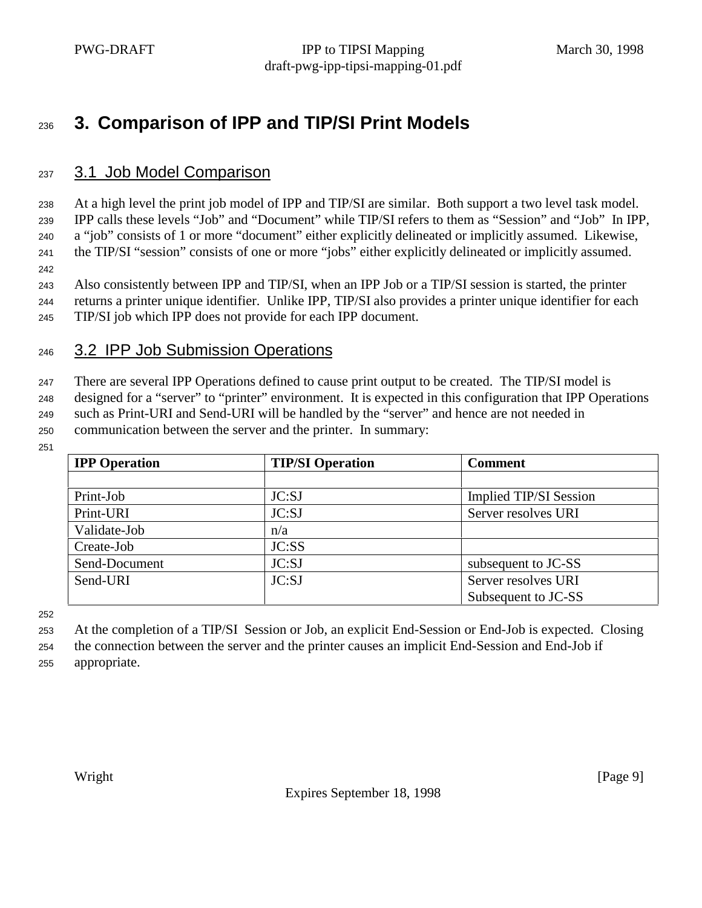# **3. Comparison of IPP and TIP/SI Print Models**

#### 3.1 Job Model Comparison

 At a high level the print job model of IPP and TIP/SI are similar. Both support a two level task model. IPP calls these levels "Job" and "Document" while TIP/SI refers to them as "Session" and "Job" In IPP, a "job" consists of 1 or more "document" either explicitly delineated or implicitly assumed. Likewise,

the TIP/SI "session" consists of one or more "jobs" either explicitly delineated or implicitly assumed.

Also consistently between IPP and TIP/SI, when an IPP Job or a TIP/SI session is started, the printer

returns a printer unique identifier. Unlike IPP, TIP/SI also provides a printer unique identifier for each

TIP/SI job which IPP does not provide for each IPP document.

### 3.2 IPP Job Submission Operations

There are several IPP Operations defined to cause print output to be created. The TIP/SI model is

designed for a "server" to "printer" environment. It is expected in this configuration that IPP Operations

 such as Print-URI and Send-URI will be handled by the "server" and hence are not needed in communication between the server and the printer. In summary:

| <b>IPP</b> Operation | <b>TIP/SI Operation</b> | <b>Comment</b>         |
|----------------------|-------------------------|------------------------|
|                      |                         |                        |
| Print-Job            | JC:SJ                   | Implied TIP/SI Session |
| Print-URI            | JC:SJ                   | Server resolves URI    |
| Validate-Job         | n/a                     |                        |
| Create-Job           | JC:SS                   |                        |
| Send-Document        | JC:SJ                   | subsequent to JC-SS    |
| Send-URI             | JC:SJ                   | Server resolves URI    |
|                      |                         | Subsequent to JC-SS    |

At the completion of a TIP/SI Session or Job, an explicit End-Session or End-Job is expected. Closing

the connection between the server and the printer causes an implicit End-Session and End-Job if

appropriate.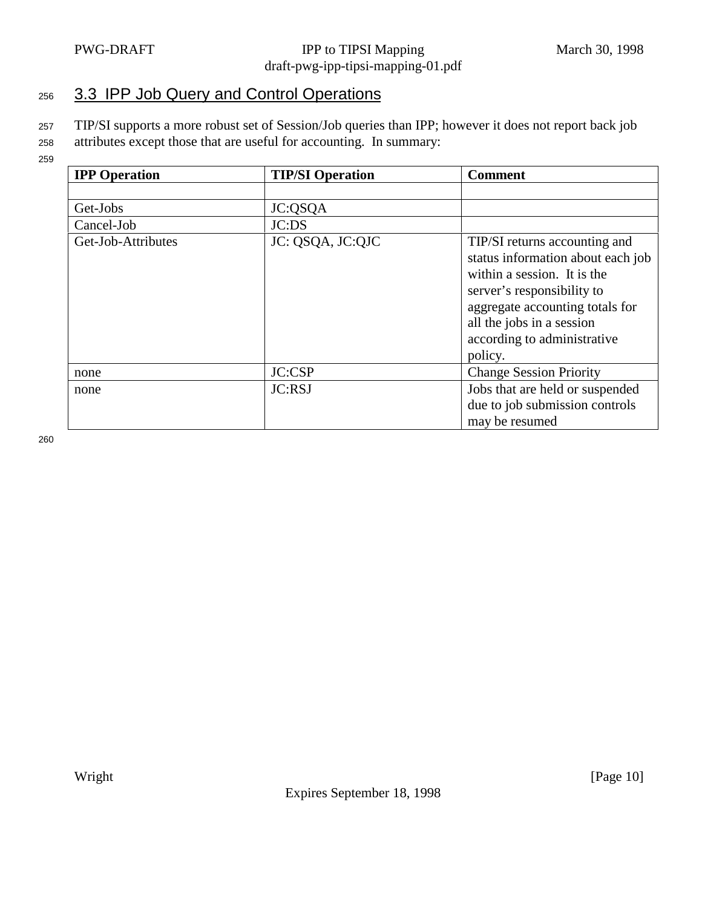## 256 3.3 IPP Job Query and Control Operations

<sup>257</sup> TIP/SI supports a more robust set of Session/Job queries than IPP; however it does not report back job

- <sup>258</sup> attributes except those that are useful for accounting. In summary:
- 259

| <b>IPP</b> Operation | <b>TIP/SI Operation</b> | <b>Comment</b>                                                                                                                                                                                                                            |
|----------------------|-------------------------|-------------------------------------------------------------------------------------------------------------------------------------------------------------------------------------------------------------------------------------------|
|                      |                         |                                                                                                                                                                                                                                           |
| Get-Jobs             | JC:QSQA                 |                                                                                                                                                                                                                                           |
| Cancel-Job           | JC:DS                   |                                                                                                                                                                                                                                           |
| Get-Job-Attributes   | JC: QSQA, JC:QJC        | TIP/SI returns accounting and<br>status information about each job<br>within a session. It is the<br>server's responsibility to<br>aggregate accounting totals for<br>all the jobs in a session<br>according to administrative<br>policy. |
| none                 | <b>JC:CSP</b>           | <b>Change Session Priority</b>                                                                                                                                                                                                            |
| none                 | JC:RSJ                  | Jobs that are held or suspended                                                                                                                                                                                                           |
|                      |                         | due to job submission controls                                                                                                                                                                                                            |
|                      |                         | may be resumed                                                                                                                                                                                                                            |

260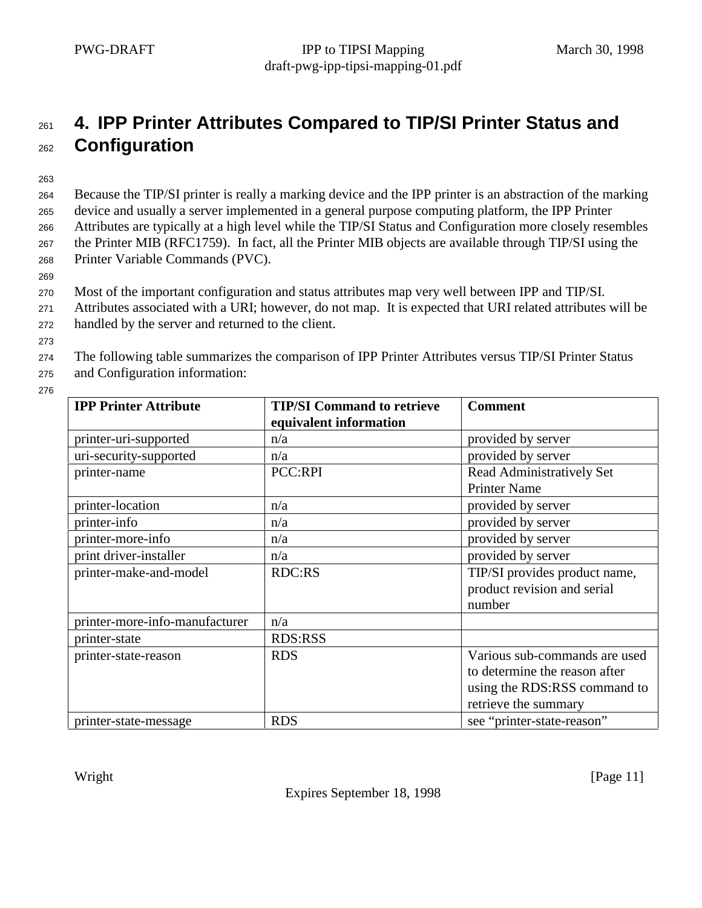# <sup>261</sup> **4. IPP Printer Attributes Compared to TIP/SI Printer Status and** <sup>262</sup> **Configuration**

263

 Because the TIP/SI printer is really a marking device and the IPP printer is an abstraction of the marking device and usually a server implemented in a general purpose computing platform, the IPP Printer Attributes are typically at a high level while the TIP/SI Status and Configuration more closely resembles the Printer MIB (RFC1759). In fact, all the Printer MIB objects are available through TIP/SI using the Printer Variable Commands (PVC).

269

<sup>270</sup> Most of the important configuration and status attributes map very well between IPP and TIP/SI.

- <sup>271</sup> Attributes associated with a URI; however, do not map. It is expected that URI related attributes will be
- <sup>272</sup> handled by the server and returned to the client.
- 273

<sup>274</sup> The following table summarizes the comparison of IPP Printer Attributes versus TIP/SI Printer Status <sup>275</sup> and Configuration information:

276

| <b>IPP Printer Attribute</b>   | <b>TIP/SI Command to retrieve</b><br>equivalent information | <b>Comment</b>                   |
|--------------------------------|-------------------------------------------------------------|----------------------------------|
| printer-uri-supported          | n/a                                                         | provided by server               |
| uri-security-supported         | n/a                                                         | provided by server               |
| printer-name                   | <b>PCC:RPI</b>                                              | <b>Read Administratively Set</b> |
|                                |                                                             | <b>Printer Name</b>              |
| printer-location               | n/a                                                         | provided by server               |
| printer-info                   | n/a                                                         | provided by server               |
| printer-more-info              | n/a                                                         | provided by server               |
| print driver-installer         | n/a                                                         | provided by server               |
| printer-make-and-model         | <b>RDC:RS</b>                                               | TIP/SI provides product name,    |
|                                |                                                             | product revision and serial      |
|                                |                                                             | number                           |
| printer-more-info-manufacturer | n/a                                                         |                                  |
| printer-state                  | <b>RDS:RSS</b>                                              |                                  |
| printer-state-reason           | <b>RDS</b>                                                  | Various sub-commands are used    |
|                                |                                                             | to determine the reason after    |
|                                |                                                             | using the RDS:RSS command to     |
|                                |                                                             | retrieve the summary             |
| printer-state-message          | <b>RDS</b>                                                  | see "printer-state-reason"       |

Wright [Page 11]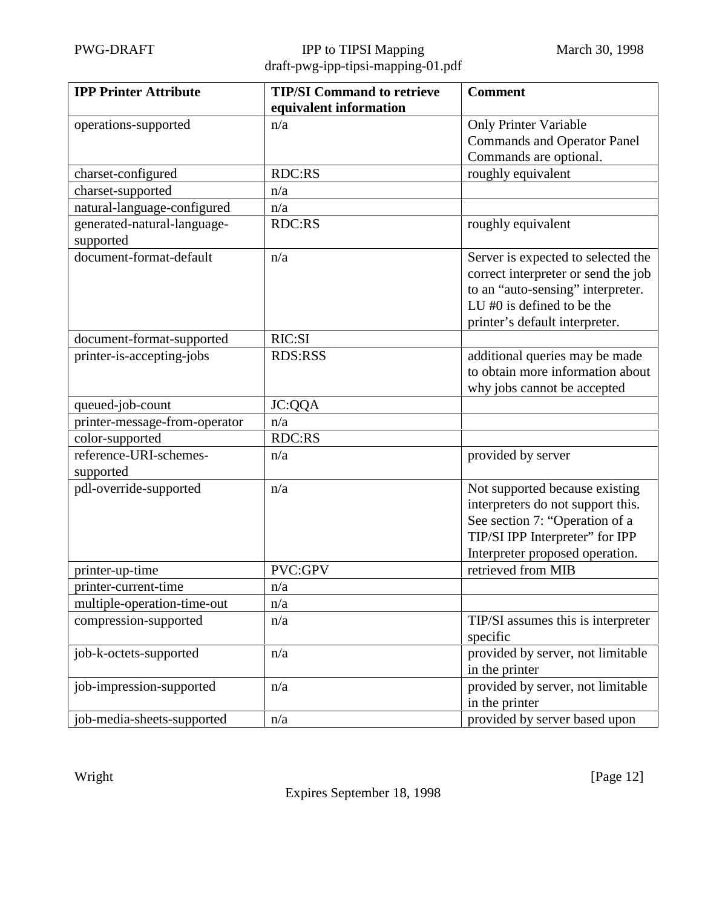| <b>IPP Printer Attribute</b>  | <b>TIP/SI Command to retrieve</b> | <b>Comment</b>                      |
|-------------------------------|-----------------------------------|-------------------------------------|
|                               | equivalent information            |                                     |
| operations-supported          | n/a                               | <b>Only Printer Variable</b>        |
|                               |                                   | <b>Commands and Operator Panel</b>  |
|                               |                                   | Commands are optional.              |
| charset-configured            | <b>RDC:RS</b>                     | roughly equivalent                  |
| charset-supported             | n/a                               |                                     |
| natural-language-configured   | n/a                               |                                     |
| generated-natural-language-   | <b>RDC:RS</b>                     | roughly equivalent                  |
| supported                     |                                   |                                     |
| document-format-default       | n/a                               | Server is expected to selected the  |
|                               |                                   | correct interpreter or send the job |
|                               |                                   | to an "auto-sensing" interpreter.   |
|                               |                                   | LU $#0$ is defined to be the        |
|                               |                                   | printer's default interpreter.      |
| document-format-supported     | RIC:SI                            |                                     |
| printer-is-accepting-jobs     | <b>RDS:RSS</b>                    | additional queries may be made      |
|                               |                                   | to obtain more information about    |
|                               |                                   | why jobs cannot be accepted         |
| queued-job-count              | <b>JC:QQA</b>                     |                                     |
| printer-message-from-operator | n/a                               |                                     |
| color-supported               | <b>RDC:RS</b>                     |                                     |
| reference-URI-schemes-        | n/a                               | provided by server                  |
| supported                     |                                   |                                     |
| pdl-override-supported        | n/a                               | Not supported because existing      |
|                               |                                   | interpreters do not support this.   |
|                               |                                   | See section 7: "Operation of a      |
|                               |                                   | TIP/SI IPP Interpreter" for IPP     |
|                               |                                   | Interpreter proposed operation.     |
| printer-up-time               | PVC:GPV                           | retrieved from MIB                  |
| printer-current-time          | n/a                               |                                     |
| multiple-operation-time-out   | n/a                               |                                     |
| compression-supported         | n/a                               | TIP/SI assumes this is interpreter  |
|                               |                                   | specific                            |
| job-k-octets-supported        | n/a                               | provided by server, not limitable   |
|                               |                                   | in the printer                      |
| job-impression-supported      | n/a                               | provided by server, not limitable   |
|                               |                                   | in the printer                      |
| job-media-sheets-supported    | n/a                               | provided by server based upon       |

Wright [Page 12]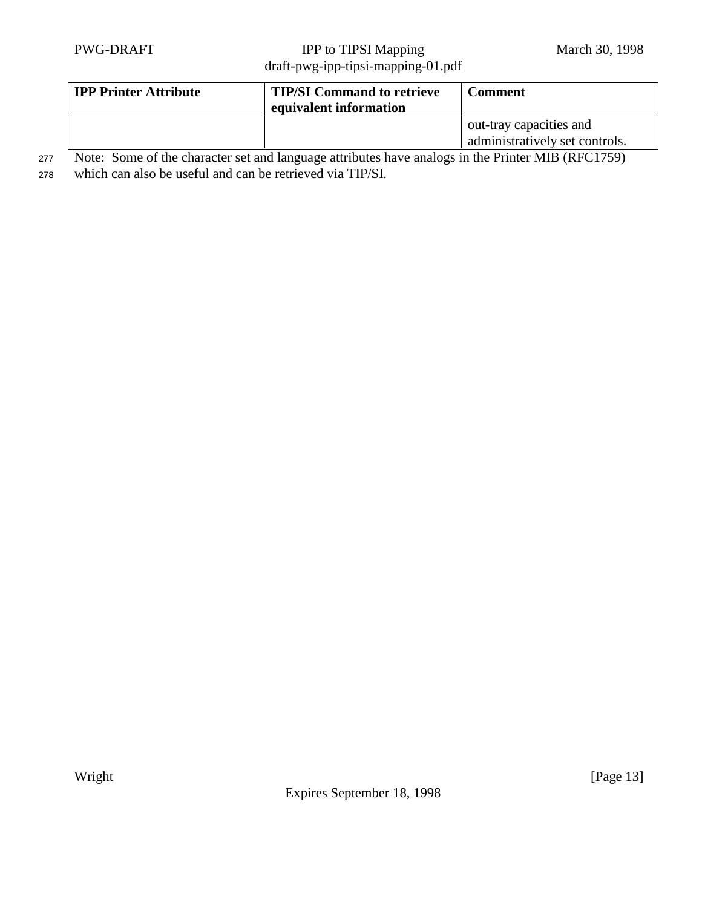| <b>IPP Printer Attribute</b> | <b>TIP/SI Command to retrieve</b><br>equivalent information | <b>Comment</b>                                            |
|------------------------------|-------------------------------------------------------------|-----------------------------------------------------------|
|                              |                                                             | out-tray capacities and<br>administratively set controls. |

<sup>277</sup> Note: Some of the character set and language attributes have analogs in the Printer MIB (RFC1759)

<sup>278</sup> which can also be useful and can be retrieved via TIP/SI.

Expires September 18, 1998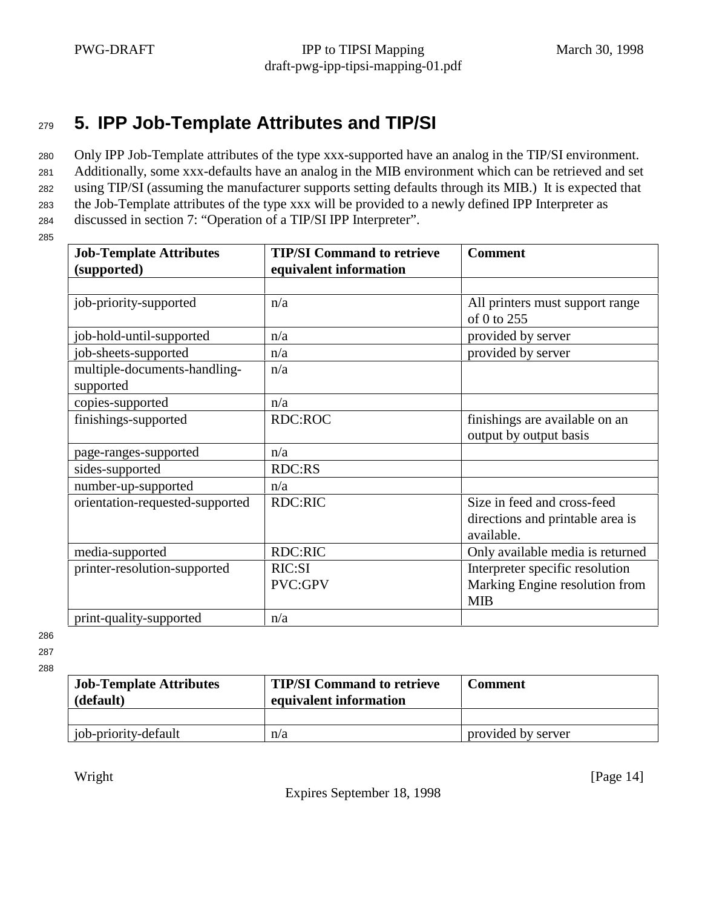# <sup>279</sup> **5. IPP Job-Template Attributes and TIP/SI**

<sup>280</sup> Only IPP Job-Template attributes of the type xxx-supported have an analog in the TIP/SI environment.

<sup>281</sup> Additionally, some xxx-defaults have an analog in the MIB environment which can be retrieved and set

<sup>282</sup> using TIP/SI (assuming the manufacturer supports setting defaults through its MIB.) It is expected that

<sup>283</sup> the Job-Template attributes of the type xxx will be provided to a newly defined IPP Interpreter as

<sup>284</sup> discussed in section 7: "Operation of a TIP/SI IPP Interpreter".

285

| <b>Job-Template Attributes</b><br>(supported) | <b>TIP/SI Command to retrieve</b><br>equivalent information | <b>Comment</b>                                           |
|-----------------------------------------------|-------------------------------------------------------------|----------------------------------------------------------|
|                                               |                                                             |                                                          |
| job-priority-supported                        | n/a                                                         | All printers must support range<br>of 0 to 255           |
| job-hold-until-supported                      | n/a                                                         | provided by server                                       |
| job-sheets-supported                          | n/a                                                         | provided by server                                       |
| multiple-documents-handling-<br>supported     | n/a                                                         |                                                          |
| copies-supported                              | n/a                                                         |                                                          |
| finishings-supported                          | <b>RDC:ROC</b>                                              | finishings are available on an<br>output by output basis |
| page-ranges-supported                         | n/a                                                         |                                                          |
| sides-supported                               | <b>RDC:RS</b>                                               |                                                          |
| number-up-supported                           | n/a                                                         |                                                          |
| orientation-requested-supported               | <b>RDC:RIC</b>                                              | Size in feed and cross-feed                              |
|                                               |                                                             | directions and printable area is                         |
|                                               |                                                             | available.                                               |
| media-supported                               | <b>RDC:RIC</b>                                              | Only available media is returned                         |
| printer-resolution-supported                  | RIC:SI                                                      | Interpreter specific resolution                          |
|                                               | PVC:GPV                                                     | Marking Engine resolution from                           |
|                                               |                                                             | <b>MIB</b>                                               |
| print-quality-supported                       | n/a                                                         |                                                          |

286

287

288

| <b>Job-Template Attributes</b><br>(default) | <b>TIP/SI Command to retrieve</b><br>equivalent information | <b>Comment</b>     |
|---------------------------------------------|-------------------------------------------------------------|--------------------|
|                                             |                                                             |                    |
| job-priority-default                        | n/a                                                         | provided by server |

Expires September 18, 1998

Wright [Page 14]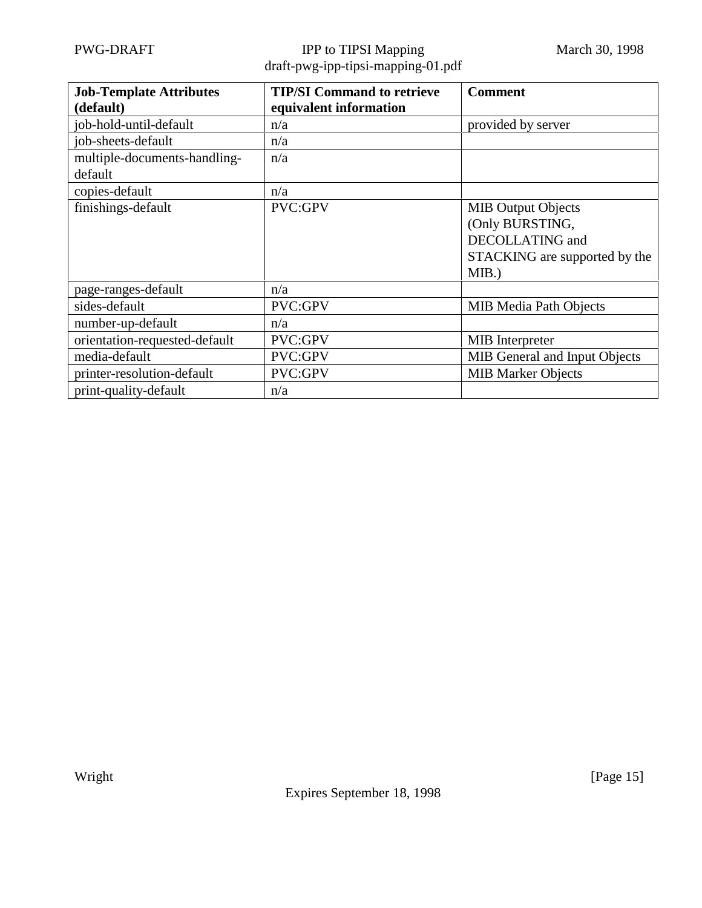| <b>Job-Template Attributes</b> | <b>TIP/SI Command to retrieve</b> | <b>Comment</b>                |
|--------------------------------|-----------------------------------|-------------------------------|
| (default)                      | equivalent information            |                               |
| job-hold-until-default         | n/a                               | provided by server            |
| job-sheets-default             | n/a                               |                               |
| multiple-documents-handling-   | n/a                               |                               |
| default                        |                                   |                               |
| copies-default                 | n/a                               |                               |
| finishings-default             | <b>PVC:GPV</b>                    | <b>MIB Output Objects</b>     |
|                                |                                   | (Only BURSTING,               |
|                                |                                   | DECOLLATING and               |
|                                |                                   | STACKING are supported by the |
|                                |                                   | $MIB.$ )                      |
| page-ranges-default            | n/a                               |                               |
| sides-default                  | PVC:GPV                           | <b>MIB Media Path Objects</b> |
| number-up-default              | n/a                               |                               |
| orientation-requested-default  | PVC:GPV                           | <b>MIB</b> Interpreter        |
| media-default                  | PVC:GPV                           | MIB General and Input Objects |
| printer-resolution-default     | PVC:GPV                           | <b>MIB Marker Objects</b>     |
| print-quality-default          | n/a                               |                               |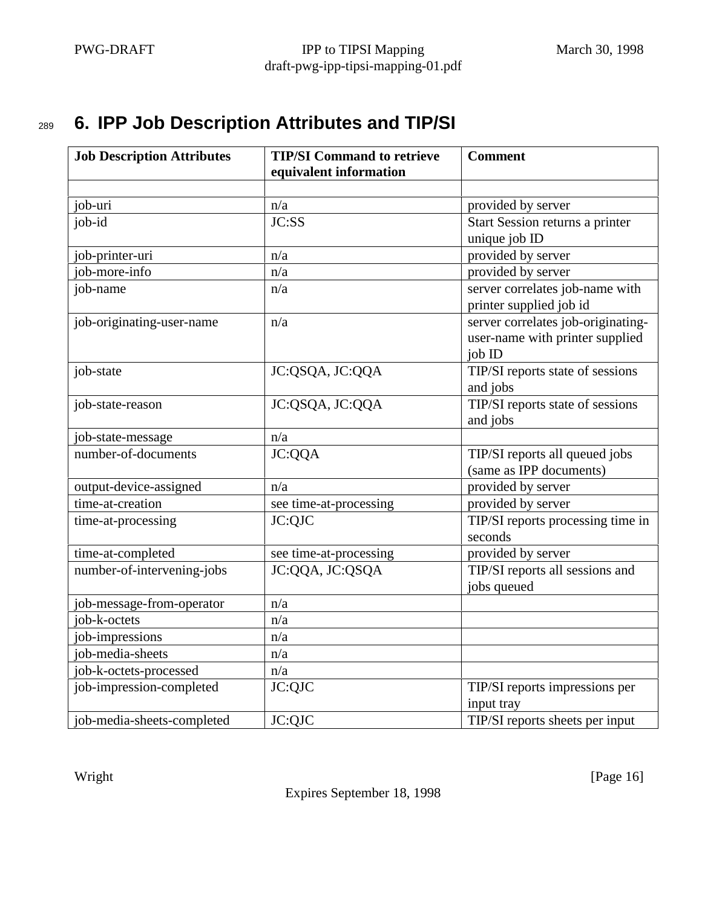# <sup>289</sup> **6. IPP Job Description Attributes and TIP/SI**

| <b>Job Description Attributes</b> | <b>TIP/SI Command to retrieve</b> | <b>Comment</b>                     |
|-----------------------------------|-----------------------------------|------------------------------------|
|                                   | equivalent information            |                                    |
|                                   |                                   |                                    |
| job-uri                           | n/a                               | provided by server                 |
| job-id                            | JC:SS                             | Start Session returns a printer    |
|                                   |                                   | unique job ID                      |
| job-printer-uri                   | n/a                               | provided by server                 |
| job-more-info                     | n/a                               | provided by server                 |
| job-name                          | n/a                               | server correlates job-name with    |
|                                   |                                   | printer supplied job id            |
| job-originating-user-name         | n/a                               | server correlates job-originating- |
|                                   |                                   | user-name with printer supplied    |
|                                   |                                   | job ID                             |
| job-state                         | JC:QSQA, JC:QQA                   | TIP/SI reports state of sessions   |
|                                   |                                   | and jobs                           |
| job-state-reason                  | JC:QSQA, JC:QQA                   | TIP/SI reports state of sessions   |
|                                   |                                   | and jobs                           |
| job-state-message                 | n/a                               |                                    |
| number-of-documents               | JC:QQA                            | TIP/SI reports all queued jobs     |
|                                   |                                   | (same as IPP documents)            |
| output-device-assigned            | n/a                               | provided by server                 |
| time-at-creation                  | see time-at-processing            | provided by server                 |
| time-at-processing                | JC:QJC                            | TIP/SI reports processing time in  |
|                                   |                                   | seconds                            |
| time-at-completed                 | see time-at-processing            | provided by server                 |
| number-of-intervening-jobs        | JC:QQA, JC:QSQA                   | TIP/SI reports all sessions and    |
|                                   |                                   | jobs queued                        |
| job-message-from-operator         | n/a                               |                                    |
| job-k-octets                      | n/a                               |                                    |
| job-impressions                   | n/a                               |                                    |
| job-media-sheets                  | n/a                               |                                    |
| job-k-octets-processed            | n/a                               |                                    |
| job-impression-completed          | JC:QJC                            | TIP/SI reports impressions per     |
|                                   |                                   | input tray                         |
| job-media-sheets-completed        | JC:QJC                            | TIP/SI reports sheets per input    |

Wright [Page 16]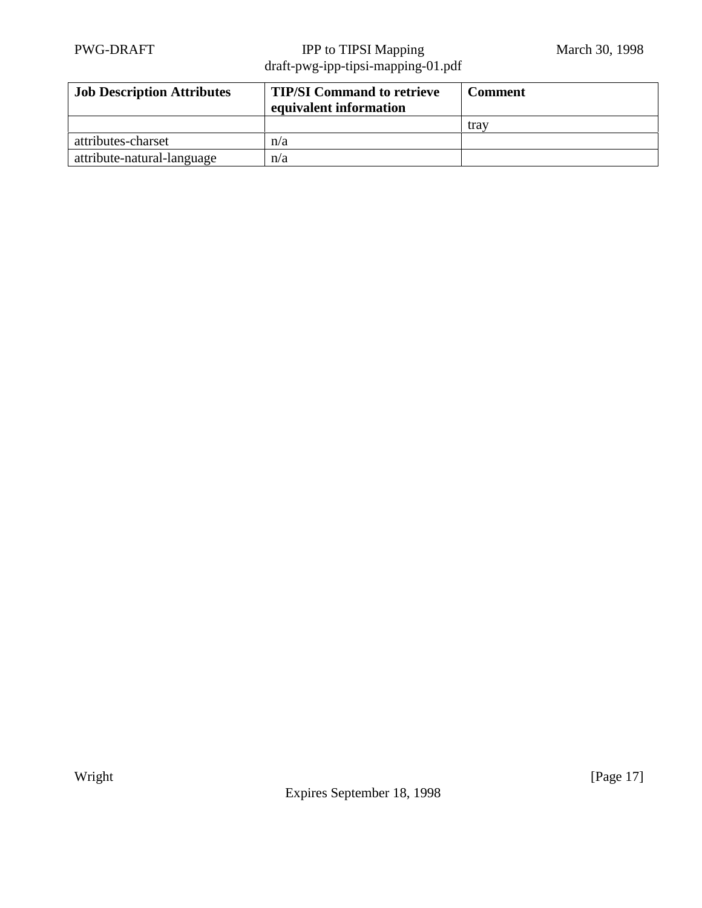| <b>Job Description Attributes</b> | <b>TIP/SI Command to retrieve</b><br>equivalent information | Comment |
|-----------------------------------|-------------------------------------------------------------|---------|
|                                   |                                                             | trav    |
| attributes-charset                | n/a                                                         |         |
| attribute-natural-language        | n/a                                                         |         |

Expires September 18, 1998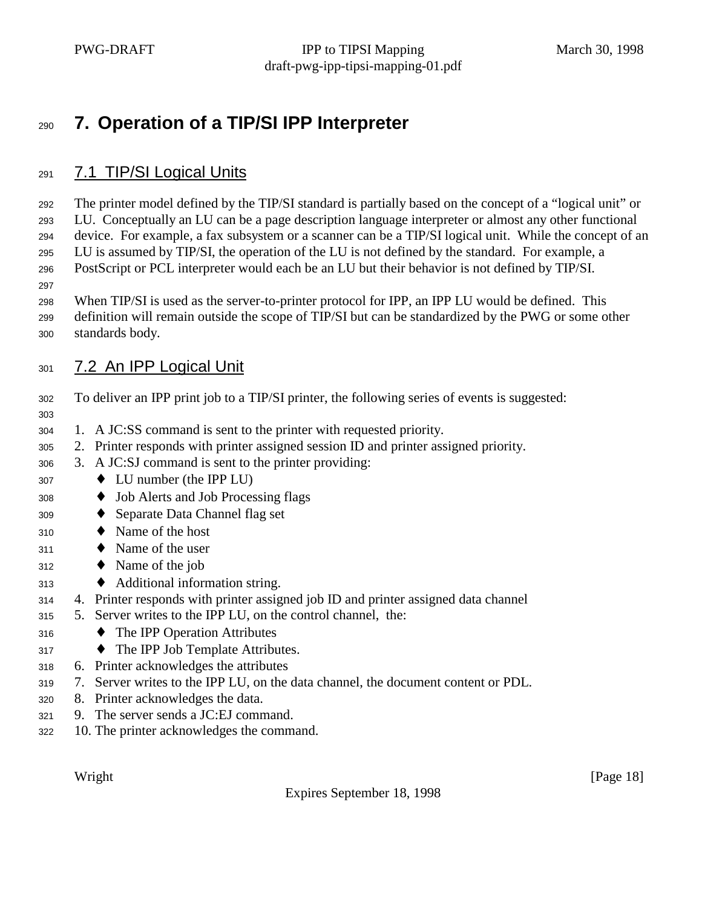# **7. Operation of a TIP/SI IPP Interpreter**

#### 7.1 TIP/SI Logical Units

 The printer model defined by the TIP/SI standard is partially based on the concept of a "logical unit" or LU. Conceptually an LU can be a page description language interpreter or almost any other functional device. For example, a fax subsystem or a scanner can be a TIP/SI logical unit. While the concept of an LU is assumed by TIP/SI, the operation of the LU is not defined by the standard. For example, a PostScript or PCL interpreter would each be an LU but their behavior is not defined by TIP/SI.

#### 

- When TIP/SI is used as the server-to-printer protocol for IPP, an IPP LU would be defined. This
- definition will remain outside the scope of TIP/SI but can be standardized by the PWG or some other
- standards body.

#### 7.2 An IPP Logical Unit

- To deliver an IPP print job to a TIP/SI printer, the following series of events is suggested:
- 1. A JC:SS command is sent to the printer with requested priority.
- 2. Printer responds with printer assigned session ID and printer assigned priority.
- 3. A JC:SJ command is sent to the printer providing:
- $307 \rightarrow LU$  number (the IPP LU)
- ♦ Job Alerts and Job Processing flags
- ♦ Separate Data Channel flag set
- ♦ Name of the host
- ♦ Name of the user
- ♦ Name of the job
- ♦ Additional information string.
- 4. Printer responds with printer assigned job ID and printer assigned data channel
- 5. Server writes to the IPP LU, on the control channel, the:
- ♦ The IPP Operation Attributes
- ♦ The IPP Job Template Attributes.
- 6. Printer acknowledges the attributes
- 7. Server writes to the IPP LU, on the data channel, the document content or PDL.
- 8. Printer acknowledges the data.
- 9. The server sends a JC:EJ command.
- 10. The printer acknowledges the command.

Expires September 18, 1998

Wright [Page 18]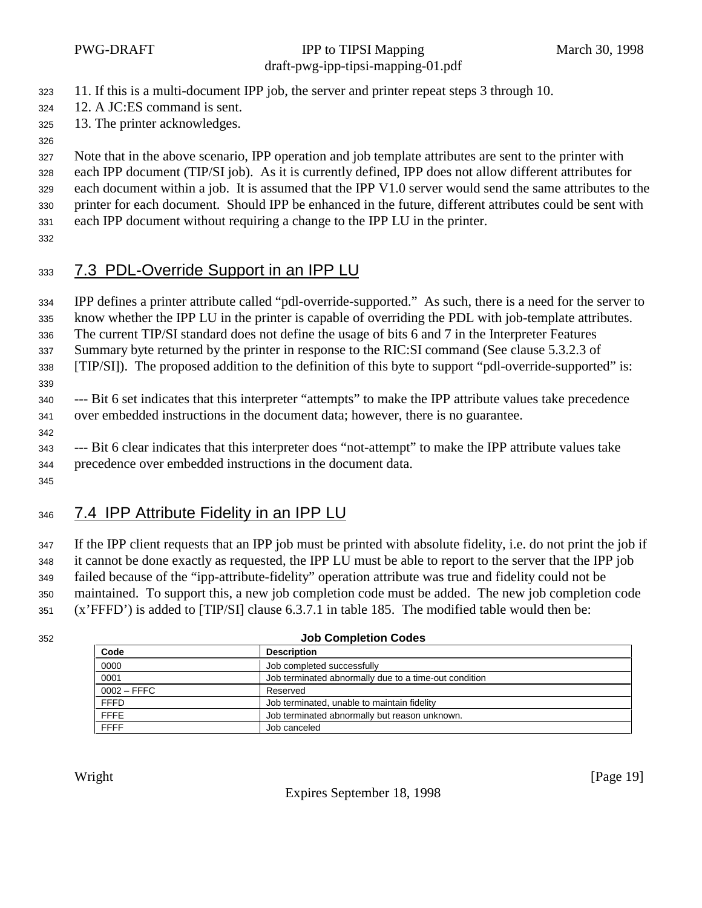11. If this is a multi-document IPP job, the server and printer repeat steps 3 through 10.

- 12. A JC:ES command is sent.
- 13. The printer acknowledges.
- 

Note that in the above scenario, IPP operation and job template attributes are sent to the printer with

each IPP document (TIP/SI job). As it is currently defined, IPP does not allow different attributes for

 each document within a job. It is assumed that the IPP V1.0 server would send the same attributes to the printer for each document. Should IPP be enhanced in the future, different attributes could be sent with

each IPP document without requiring a change to the IPP LU in the printer.

## 7.3 PDL-Override Support in an IPP LU

 IPP defines a printer attribute called "pdl-override-supported." As such, there is a need for the server to know whether the IPP LU in the printer is capable of overriding the PDL with job-template attributes.

The current TIP/SI standard does not define the usage of bits 6 and 7 in the Interpreter Features

Summary byte returned by the printer in response to the RIC:SI command (See clause 5.3.2.3 of

[TIP/SI]). The proposed addition to the definition of this byte to support "pdl-override-supported" is:

 --- Bit 6 set indicates that this interpreter "attempts" to make the IPP attribute values take precedence over embedded instructions in the document data; however, there is no guarantee.

 --- Bit 6 clear indicates that this interpreter does "not-attempt" to make the IPP attribute values take precedence over embedded instructions in the document data.

## 346 7.4 IPP Attribute Fidelity in an IPP LU

 If the IPP client requests that an IPP job must be printed with absolute fidelity, i.e. do not print the job if it cannot be done exactly as requested, the IPP LU must be able to report to the server that the IPP job failed because of the "ipp-attribute-fidelity" operation attribute was true and fidelity could not be maintained. To support this, a new job completion code must be added. The new job completion code (x'FFFD') is added to [TIP/SI] clause 6.3.7.1 in table 185. The modified table would then be:

#### **Job Completion Codes**

| Code<br>______ | <b>Description</b>                                    |
|----------------|-------------------------------------------------------|
| 0000           | Job completed successfully                            |
| 0001           | Job terminated abnormally due to a time-out condition |
| $0002 - FFFC$  | Reserved                                              |
| <b>FFFD</b>    | Job terminated, unable to maintain fidelity           |
| <b>FFFE</b>    | Job terminated abnormally but reason unknown.         |
| <b>FFFF</b>    | Job canceled                                          |

Expires September 18, 1998

Wright [Page 19]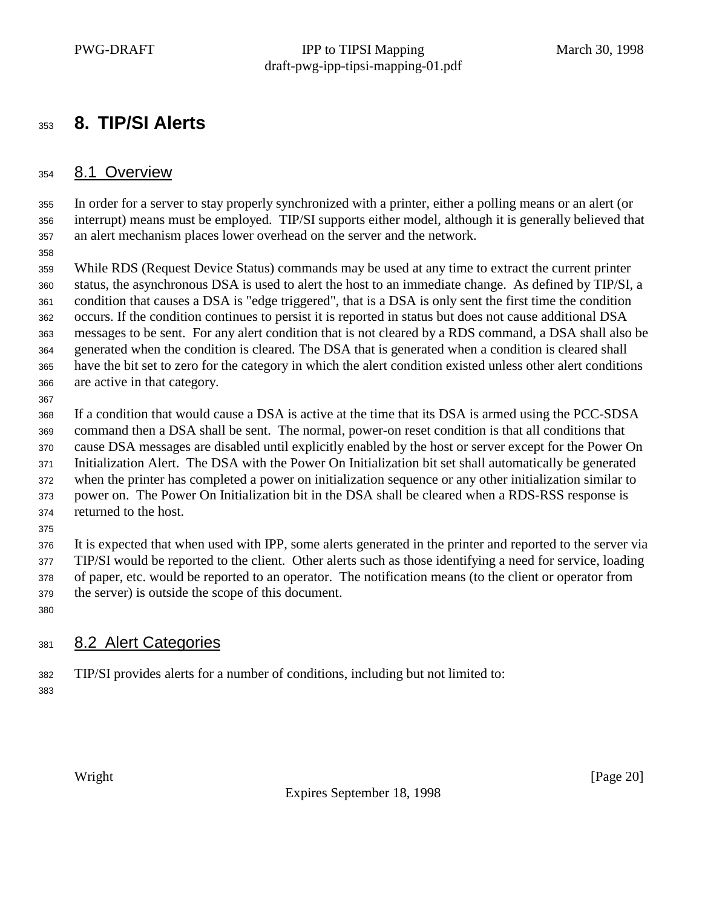## **8. TIP/SI Alerts**

#### 8.1 Overview

 In order for a server to stay properly synchronized with a printer, either a polling means or an alert (or interrupt) means must be employed. TIP/SI supports either model, although it is generally believed that an alert mechanism places lower overhead on the server and the network.

 While RDS (Request Device Status) commands may be used at any time to extract the current printer status, the asynchronous DSA is used to alert the host to an immediate change. As defined by TIP/SI, a condition that causes a DSA is "edge triggered", that is a DSA is only sent the first time the condition occurs. If the condition continues to persist it is reported in status but does not cause additional DSA messages to be sent. For any alert condition that is not cleared by a RDS command, a DSA shall also be generated when the condition is cleared. The DSA that is generated when a condition is cleared shall have the bit set to zero for the category in which the alert condition existed unless other alert conditions are active in that category.

If a condition that would cause a DSA is active at the time that its DSA is armed using the PCC-SDSA

command then a DSA shall be sent. The normal, power-on reset condition is that all conditions that

cause DSA messages are disabled until explicitly enabled by the host or server except for the Power On

Initialization Alert. The DSA with the Power On Initialization bit set shall automatically be generated

when the printer has completed a power on initialization sequence or any other initialization similar to

power on. The Power On Initialization bit in the DSA shall be cleared when a RDS-RSS response is

 returned to the host. 

 It is expected that when used with IPP, some alerts generated in the printer and reported to the server via TIP/SI would be reported to the client. Other alerts such as those identifying a need for service, loading of paper, etc. would be reported to an operator. The notification means (to the client or operator from the server) is outside the scope of this document.

### 381 8.2 Alert Categories

- TIP/SI provides alerts for a number of conditions, including but not limited to:
-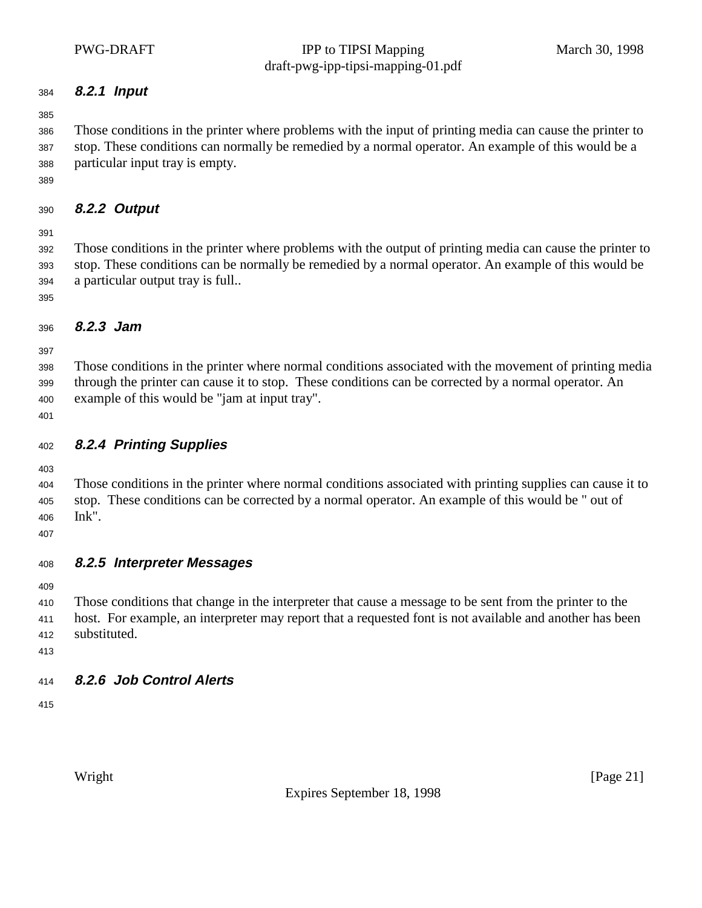#### **8.2.1 Input**

 Those conditions in the printer where problems with the input of printing media can cause the printer to stop. These conditions can normally be remedied by a normal operator. An example of this would be a particular input tray is empty.

#### **8.2.2 Output**

 Those conditions in the printer where problems with the output of printing media can cause the printer to stop. These conditions can be normally be remedied by a normal operator. An example of this would be a particular output tray is full..

#### **8.2.3 Jam**

 Those conditions in the printer where normal conditions associated with the movement of printing media through the printer can cause it to stop. These conditions can be corrected by a normal operator. An example of this would be "jam at input tray".

#### **8.2.4 Printing Supplies**

 Those conditions in the printer where normal conditions associated with printing supplies can cause it to stop. These conditions can be corrected by a normal operator. An example of this would be " out of Ink".

**8.2.5 Interpreter Messages**

 Those conditions that change in the interpreter that cause a message to be sent from the printer to the host. For example, an interpreter may report that a requested font is not available and another has been substituted.

#### **8.2.6 Job Control Alerts**

Expires September 18, 1998

Wright [Page 21]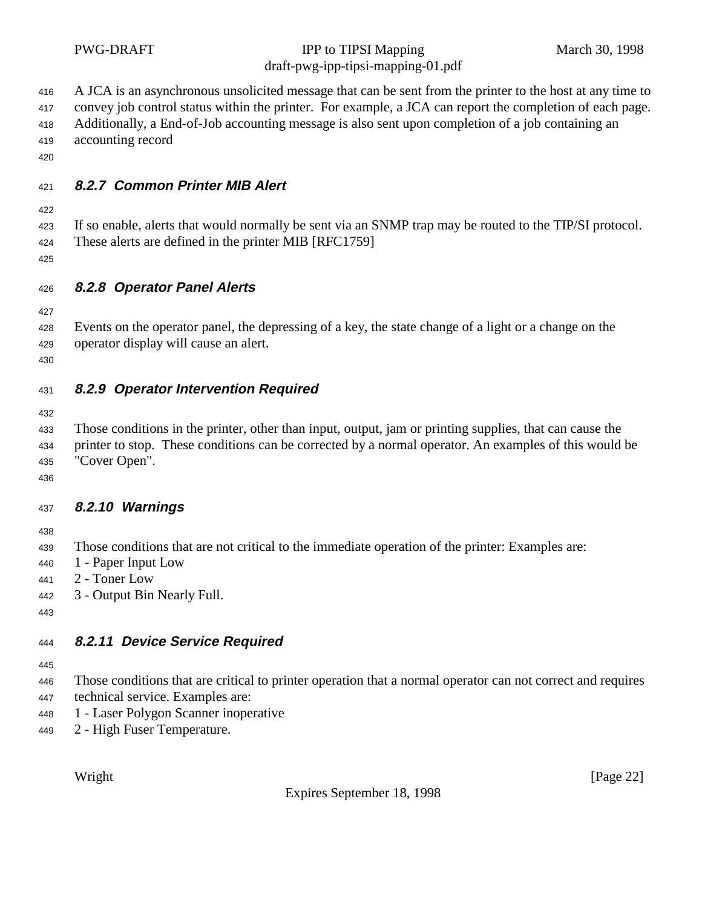|                                        | <b>PWG-DRAFT</b>                                                                                         | IPP to TIPSI Mapping<br>draft-pwg-ipp-tipsi-mapping-01.pdf                                                                                                                                                                                                                                                                 | March 30, 1998 |
|----------------------------------------|----------------------------------------------------------------------------------------------------------|----------------------------------------------------------------------------------------------------------------------------------------------------------------------------------------------------------------------------------------------------------------------------------------------------------------------------|----------------|
| 416<br>417<br>418<br>419<br>420        | accounting record                                                                                        | A JCA is an asynchronous unsolicited message that can be sent from the printer to the host at any time to<br>convey job control status within the printer. For example, a JCA can report the completion of each page.<br>Additionally, a End-of-Job accounting message is also sent upon completion of a job containing an |                |
| 421                                    | 8.2.7 Common Printer MIB Alert                                                                           |                                                                                                                                                                                                                                                                                                                            |                |
| 422<br>423<br>424<br>425               | These alerts are defined in the printer MIB [RFC1759]                                                    | If so enable, alerts that would normally be sent via an SNMP trap may be routed to the TIP/SI protocol.                                                                                                                                                                                                                    |                |
| 426                                    | 8.2.8 Operator Panel Alerts                                                                              |                                                                                                                                                                                                                                                                                                                            |                |
| 427<br>428<br>429<br>430               | operator display will cause an alert.                                                                    | Events on the operator panel, the depressing of a key, the state change of a light or a change on the                                                                                                                                                                                                                      |                |
| 431                                    | 8.2.9 Operator Intervention Required                                                                     |                                                                                                                                                                                                                                                                                                                            |                |
| 432<br>433<br>434<br>435<br>436        | "Cover Open".                                                                                            | Those conditions in the printer, other than input, output, jam or printing supplies, that can cause the<br>printer to stop. These conditions can be corrected by a normal operator. An examples of this would be                                                                                                           |                |
| 437                                    | 8.2.10 Warnings                                                                                          |                                                                                                                                                                                                                                                                                                                            |                |
| 438<br>439<br>440<br>441<br>442<br>443 | 1 - Paper Input Low<br>2 - Toner Low<br>3 - Output Bin Nearly Full.                                      | Those conditions that are not critical to the immediate operation of the printer: Examples are:                                                                                                                                                                                                                            |                |
| 444                                    | 8.2.11 Device Service Required                                                                           |                                                                                                                                                                                                                                                                                                                            |                |
| 445<br>446<br>447<br>448<br>449        | technical service. Examples are:<br>1 - Laser Polygon Scanner inoperative<br>2 - High Fuser Temperature. | Those conditions that are critical to printer operation that a normal operator can not correct and requires                                                                                                                                                                                                                |                |

Expires September 18, 1998

Wright [Page 22]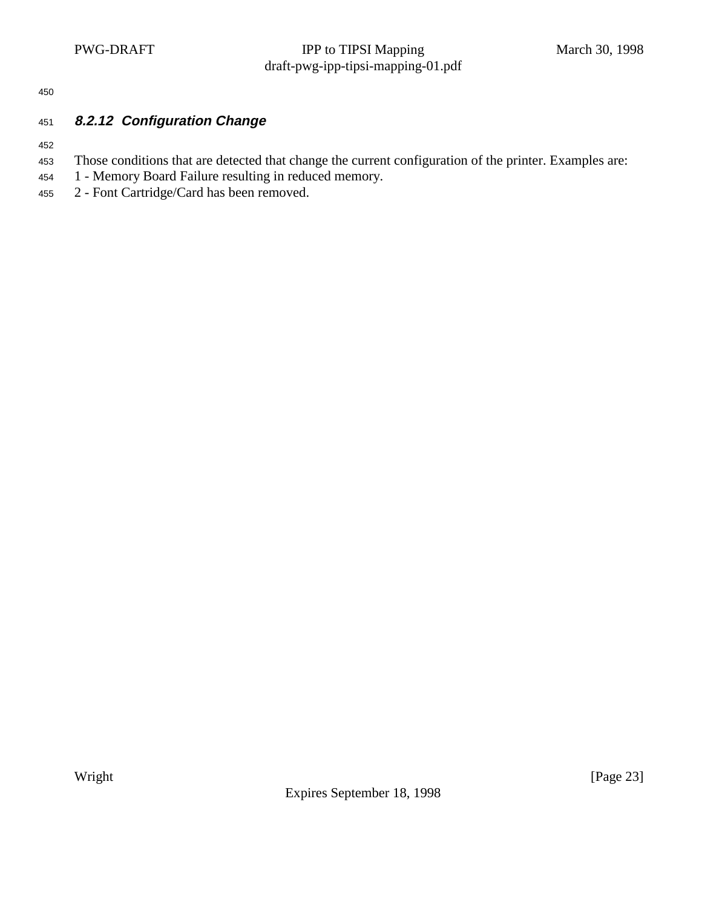450

#### 451 **8.2.12 Configuration Change**

452

- <sup>453</sup> Those conditions that are detected that change the current configuration of the printer. Examples are:
- <sup>454</sup> 1 Memory Board Failure resulting in reduced memory.
- <sup>455</sup> 2 Font Cartridge/Card has been removed.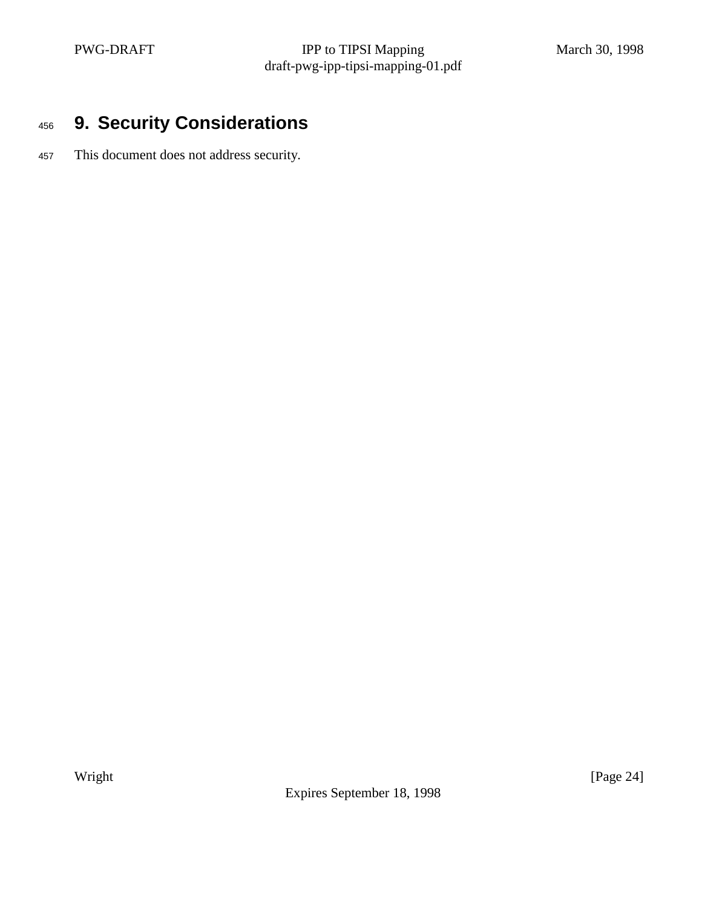# <sup>456</sup> **9. Security Considerations**

<sup>457</sup> This document does not address security.

Expires September 18, 1998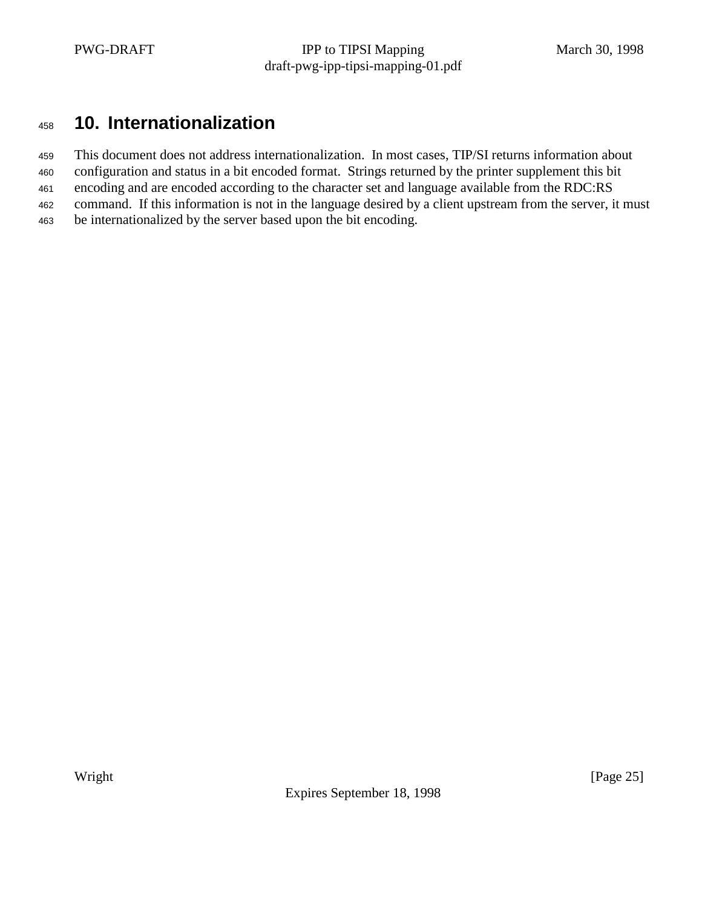## <sup>458</sup> **10. Internationalization**

<sup>459</sup> This document does not address internationalization. In most cases, TIP/SI returns information about

- <sup>460</sup> configuration and status in a bit encoded format. Strings returned by the printer supplement this bit
- <sup>461</sup> encoding and are encoded according to the character set and language available from the RDC:RS <sup>462</sup> command. If this information is not in the language desired by a client upstream from the server, it must
- <sup>463</sup> be internationalized by the server based upon the bit encoding.

Expires September 18, 1998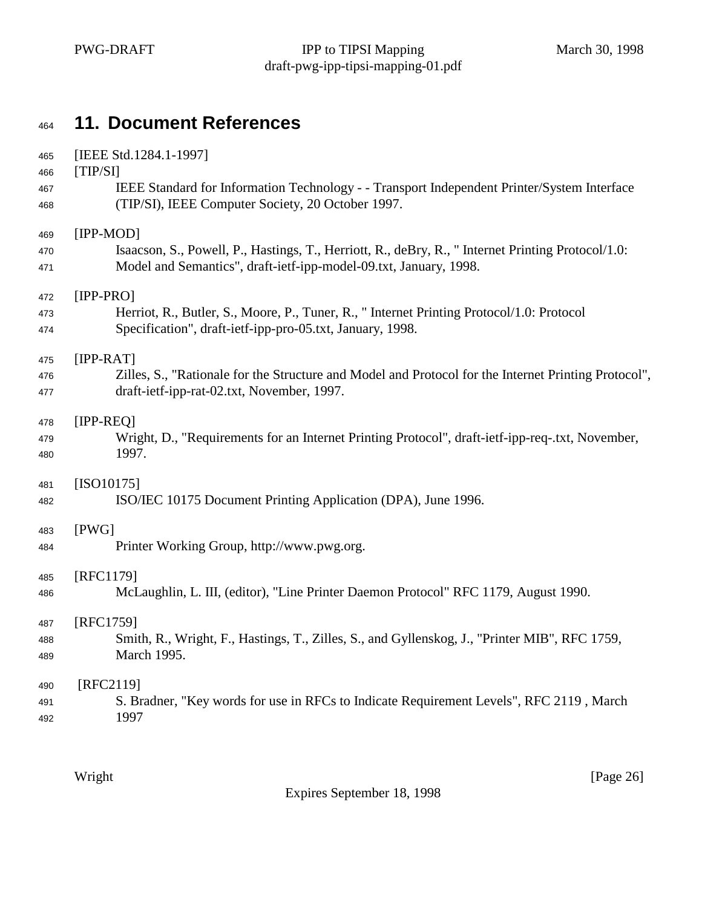# **11. Document References**

| 465 | [IEEE Std.1284.1-1997]                                                                               |
|-----|------------------------------------------------------------------------------------------------------|
| 466 | [TIP/SI]                                                                                             |
| 467 | IEEE Standard for Information Technology - - Transport Independent Printer/System Interface          |
| 468 | (TIP/SI), IEEE Computer Society, 20 October 1997.                                                    |
| 469 | $[IPP-MOD]$                                                                                          |
| 470 | Isaacson, S., Powell, P., Hastings, T., Herriott, R., deBry, R., "Internet Printing Protocol/1.0:    |
| 471 | Model and Semantics", draft-ietf-ipp-model-09.txt, January, 1998.                                    |
| 472 | $[IPP-PRO]$                                                                                          |
| 473 | Herriot, R., Butler, S., Moore, P., Tuner, R., "Internet Printing Protocol/1.0: Protocol             |
| 474 | Specification", draft-ietf-ipp-pro-05.txt, January, 1998.                                            |
| 475 | $[IPP-RAT]$                                                                                          |
| 476 | Zilles, S., "Rationale for the Structure and Model and Protocol for the Internet Printing Protocol", |
| 477 | draft-ietf-ipp-rat-02.txt, November, 1997.                                                           |
| 478 | $[IPP-RED]$                                                                                          |
| 479 | Wright, D., "Requirements for an Internet Printing Protocol", draft-ietf-ipp-req-.txt, November,     |
| 480 | 1997.                                                                                                |
| 481 | $[ISO10175]$                                                                                         |
| 482 | ISO/IEC 10175 Document Printing Application (DPA), June 1996.                                        |
| 483 | [PWG]                                                                                                |
| 484 | Printer Working Group, http://www.pwg.org.                                                           |
| 485 | [RFC1179]                                                                                            |
| 486 | McLaughlin, L. III, (editor), "Line Printer Daemon Protocol" RFC 1179, August 1990.                  |
| 487 | [RFC1759]                                                                                            |
| 488 | Smith, R., Wright, F., Hastings, T., Zilles, S., and Gyllenskog, J., "Printer MIB", RFC 1759,        |
| 489 | March 1995.                                                                                          |
| 490 | [RFC2119]                                                                                            |
| 491 | S. Bradner, "Key words for use in RFCs to Indicate Requirement Levels", RFC 2119, March              |
| 492 | 1997                                                                                                 |

Expires September 18, 1998

Wright [Page 26]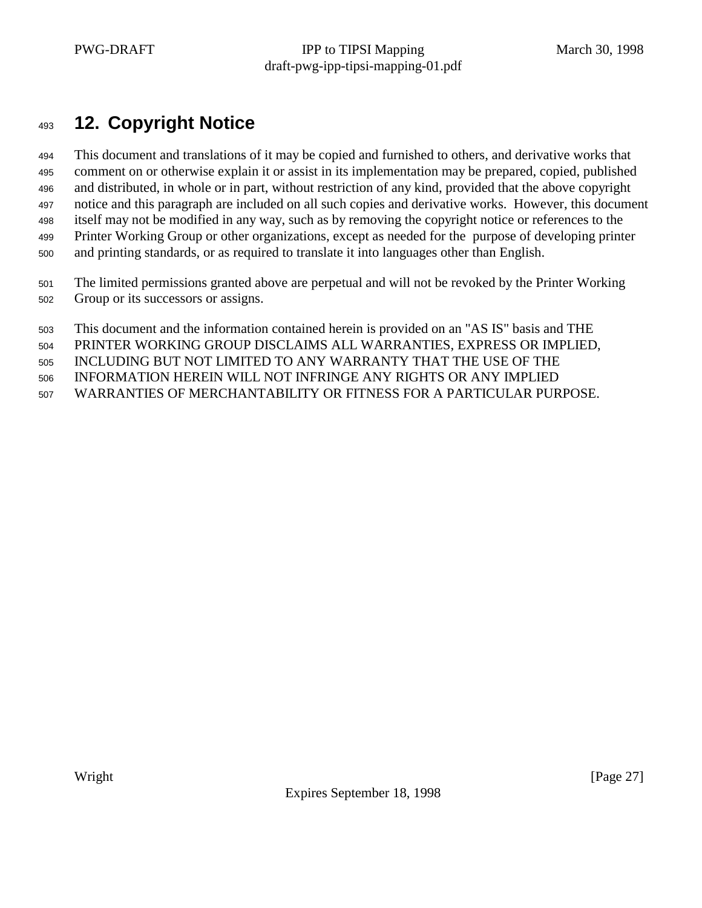# **12. Copyright Notice**

 This document and translations of it may be copied and furnished to others, and derivative works that comment on or otherwise explain it or assist in its implementation may be prepared, copied, published and distributed, in whole or in part, without restriction of any kind, provided that the above copyright notice and this paragraph are included on all such copies and derivative works. However, this document itself may not be modified in any way, such as by removing the copyright notice or references to the Printer Working Group or other organizations, except as needed for the purpose of developing printer and printing standards, or as required to translate it into languages other than English.

 The limited permissions granted above are perpetual and will not be revoked by the Printer Working Group or its successors or assigns.

This document and the information contained herein is provided on an "AS IS" basis and THE

PRINTER WORKING GROUP DISCLAIMS ALL WARRANTIES, EXPRESS OR IMPLIED,

INCLUDING BUT NOT LIMITED TO ANY WARRANTY THAT THE USE OF THE

INFORMATION HEREIN WILL NOT INFRINGE ANY RIGHTS OR ANY IMPLIED

WARRANTIES OF MERCHANTABILITY OR FITNESS FOR A PARTICULAR PURPOSE.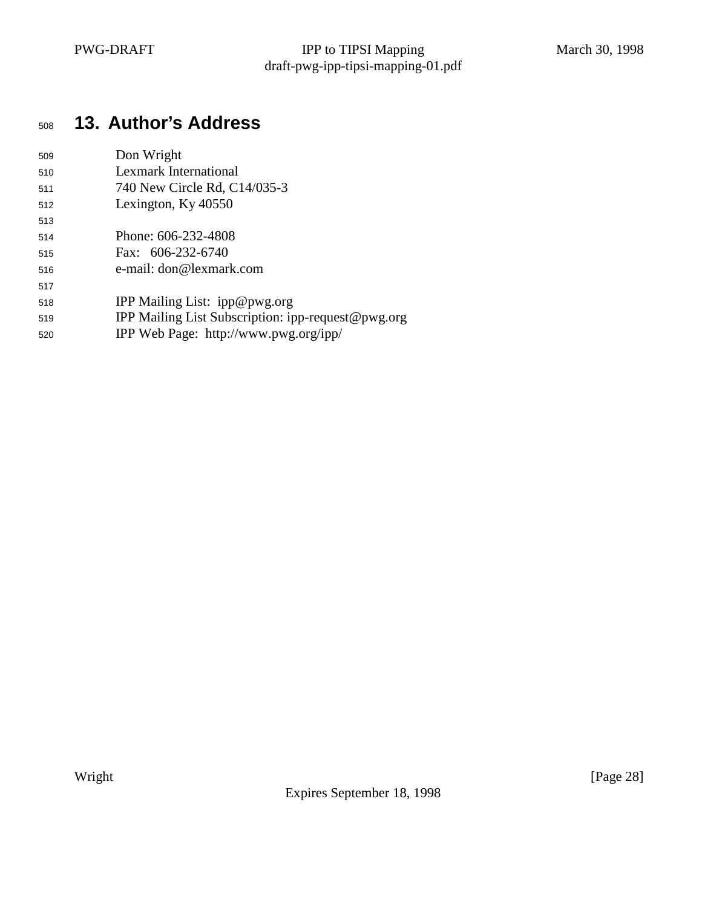# **13. Author's Address**

| 509 | Don Wright                   |
|-----|------------------------------|
| 510 | Lexmark International        |
| 511 | 740 New Circle Rd, C14/035-3 |
| 512 | Lexington, Ky 40550          |
| 513 |                              |
| 514 | Phone: 606-232-4808          |
| 515 | Fax: 606-232-6740            |

- e-mail: don@lexmark.com
- IPP Mailing List: ipp@pwg.org
- IPP Mailing List Subscription: ipp-request@pwg.org
- IPP Web Page: http://www.pwg.org/ipp/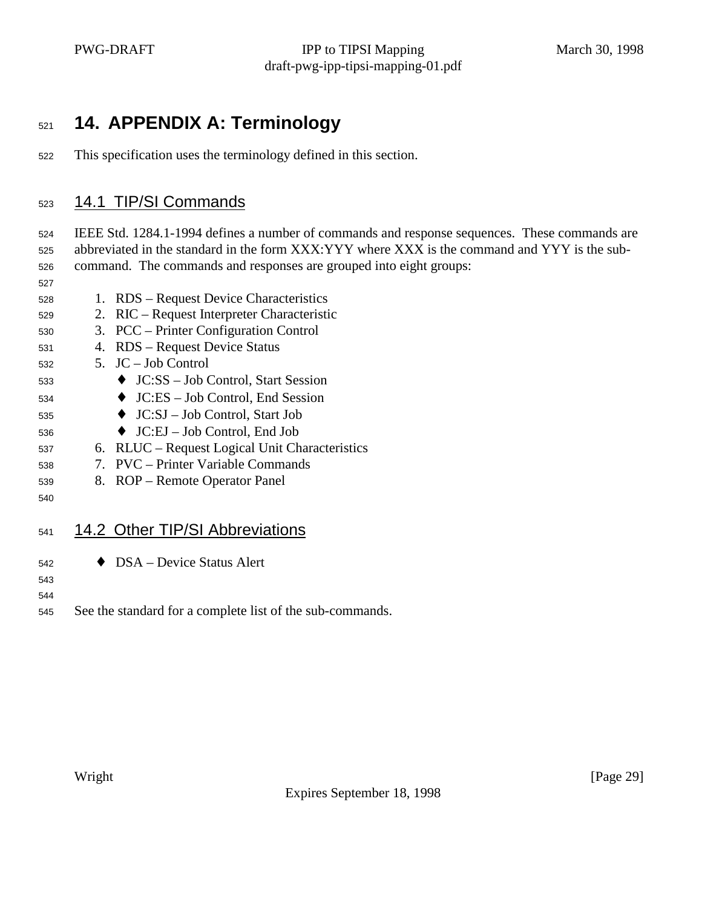# **14. APPENDIX A: Terminology**

This specification uses the terminology defined in this section.

#### 14.1 TIP/SI Commands

 IEEE Std. 1284.1-1994 defines a number of commands and response sequences. These commands are abbreviated in the standard in the form XXX:YYY where XXX is the command and YYY is the sub-command. The commands and responses are grouped into eight groups:

- 1. RDS Request Device Characteristics
- 2. RIC Request Interpreter Characteristic
- 3. PCC Printer Configuration Control
- 4. RDS Request Device Status
- 5. JC Job Control
- ♦ JC:SS Job Control, Start Session
- ♦ JC:ES Job Control, End Session
- ♦ JC:SJ Job Control, Start Job
- $536 \rightarrow JC: EJ Job Control$ , End Job
- 6. RLUC Request Logical Unit Characteristics
- 7. PVC Printer Variable Commands
- 8. ROP Remote Operator Panel
- 

#### 541 14.2 Other TIP/SI Abbreviations

♦ DSA – Device Status Alert

- 
- See the standard for a complete list of the sub-commands.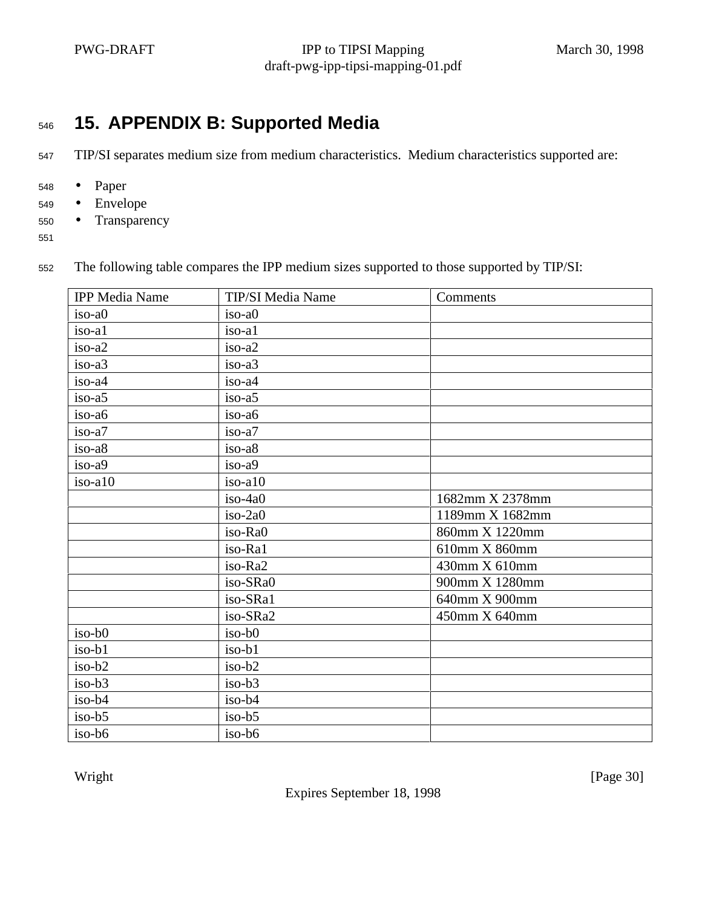# <sup>546</sup> **15. APPENDIX B: Supported Media**

<sup>547</sup> TIP/SI separates medium size from medium characteristics. Medium characteristics supported are:

- <sup>548</sup> Paper
- <sup>549</sup> Envelope
- <sup>550</sup> Transparency
- 551

<sup>552</sup> The following table compares the IPP medium sizes supported to those supported by TIP/SI:

| <b>IPP</b> Media Name | TIP/SI Media Name | Comments        |
|-----------------------|-------------------|-----------------|
| iso-a0                | $iso-a0$          |                 |
| iso-al                | iso-al            |                 |
| iso-a2                | iso-a2            |                 |
| iso-a3                | iso-a3            |                 |
| iso-a4                | $iso-a4$          |                 |
| iso-a5                | $iso-a5$          |                 |
| iso-a6                | iso-a6            |                 |
| iso-a7                | iso-a7            |                 |
| iso-a8                | iso-a8            |                 |
| iso-a9                | iso-a9            |                 |
| iso-a10               | $iso-a10$         |                 |
|                       | $iso-4a0$         | 1682mm X 2378mm |
|                       | iso-2a0           | 1189mm X 1682mm |
|                       | iso-Ra0           | 860mm X 1220mm  |
|                       | iso-Ra1           | 610mm X 860mm   |
|                       | iso-Ra2           | 430mm X 610mm   |
|                       | iso-SRa0          | 900mm X 1280mm  |
|                       | iso-SRa1          | 640mm X 900mm   |
|                       | iso-SRa2          | 450mm X 640mm   |
| $iso-b0$              | $iso-b0$          |                 |
| iso-b1                | iso-b1            |                 |
| $iso-b2$              | iso-b2            |                 |
| $iso-b3$              | $iso-b3$          |                 |
| $iso-b4$              | iso-b4            |                 |
| $iso-b5$              | $iso-b5$          |                 |
| $iso-b6$              | $iso-b6$          |                 |

Expires September 18, 1998

Wright [Page 30]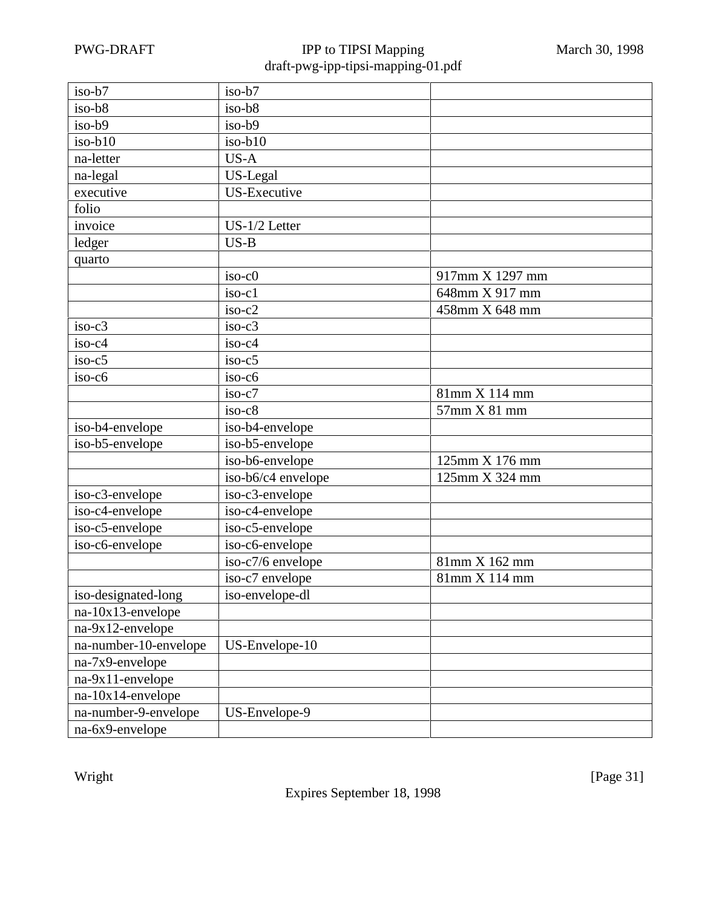| iso-b7                | iso-b7             |                 |
|-----------------------|--------------------|-----------------|
| iso-b8                | iso-b8             |                 |
| iso-b9                | $iso-b9$           |                 |
| $iso-b10$             | $iso-b10$          |                 |
| na-letter             | US-A               |                 |
| na-legal              | US-Legal           |                 |
| executive             | US-Executive       |                 |
| folio                 |                    |                 |
| invoice               | US-1/2 Letter      |                 |
| ledger                | $US-B$             |                 |
| quarto                |                    |                 |
|                       | $iso-c0$           | 917mm X 1297 mm |
|                       | iso-c1             | 648mm X 917 mm  |
|                       | $iso-c2$           | 458mm X 648 mm  |
| $iso-c3$              | $iso-c3$           |                 |
| iso-c4                | iso-c4             |                 |
| $iso-c5$              | $iso-c5$           |                 |
| $iso-c6$              | $iso-c6$           |                 |
|                       | $iso-c7$           | 81mm X 114 mm   |
|                       | $iso-c8$           | 57mm X 81 mm    |
| iso-b4-envelope       | iso-b4-envelope    |                 |
| iso-b5-envelope       | iso-b5-envelope    |                 |
|                       | iso-b6-envelope    | 125mm X 176 mm  |
|                       | iso-b6/c4 envelope | 125mm X 324 mm  |
| iso-c3-envelope       | iso-c3-envelope    |                 |
| iso-c4-envelope       | iso-c4-envelope    |                 |
| iso-c5-envelope       | iso-c5-envelope    |                 |
| iso-c6-envelope       | iso-c6-envelope    |                 |
|                       | iso-c7/6 envelope  | 81mm X 162 mm   |
|                       | iso-c7 envelope    | 81mm X 114 mm   |
| iso-designated-long   | iso-envelope-dl    |                 |
| $na-10x13$ -envelope  |                    |                 |
| na-9x12-envelope      |                    |                 |
| na-number-10-envelope | US-Envelope-10     |                 |
| na-7x9-envelope       |                    |                 |
| na-9x11-envelope      |                    |                 |
| na-10x14-envelope     |                    |                 |
| na-number-9-envelope  | US-Envelope-9      |                 |
| na-6x9-envelope       |                    |                 |

Expires September 18, 1998

Wright [Page 31]